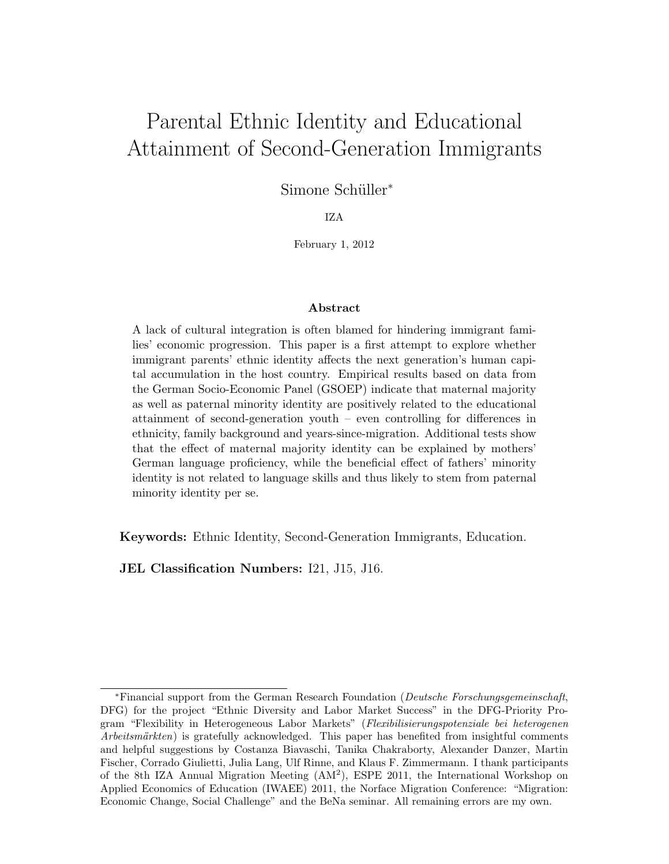# Parental Ethnic Identity and Educational Attainment of Second-Generation Immigrants

Simone Schüller<sup>\*</sup>

IZA

February 1, 2012

#### Abstract

A lack of cultural integration is often blamed for hindering immigrant families' economic progression. This paper is a first attempt to explore whether immigrant parents' ethnic identity affects the next generation's human capital accumulation in the host country. Empirical results based on data from the German Socio-Economic Panel (GSOEP) indicate that maternal majority as well as paternal minority identity are positively related to the educational attainment of second-generation youth – even controlling for differences in ethnicity, family background and years-since-migration. Additional tests show that the effect of maternal majority identity can be explained by mothers' German language proficiency, while the beneficial effect of fathers' minority identity is not related to language skills and thus likely to stem from paternal minority identity per se.

Keywords: Ethnic Identity, Second-Generation Immigrants, Education.

JEL Classification Numbers: I21, J15, J16.

<sup>∗</sup>Financial support from the German Research Foundation (Deutsche Forschungsgemeinschaft, DFG) for the project "Ethnic Diversity and Labor Market Success" in the DFG-Priority Program "Flexibility in Heterogeneous Labor Markets" (Flexibilisierungspotenziale bei heterogenen  $Arbeitsmärkten)$  is gratefully acknowledged. This paper has benefited from insightful comments and helpful suggestions by Costanza Biavaschi, Tanika Chakraborty, Alexander Danzer, Martin Fischer, Corrado Giulietti, Julia Lang, Ulf Rinne, and Klaus F. Zimmermann. I thank participants of the 8th IZA Annual Migration Meeting (AM<sup>2</sup> ), ESPE 2011, the International Workshop on Applied Economics of Education (IWAEE) 2011, the Norface Migration Conference: "Migration: Economic Change, Social Challenge" and the BeNa seminar. All remaining errors are my own.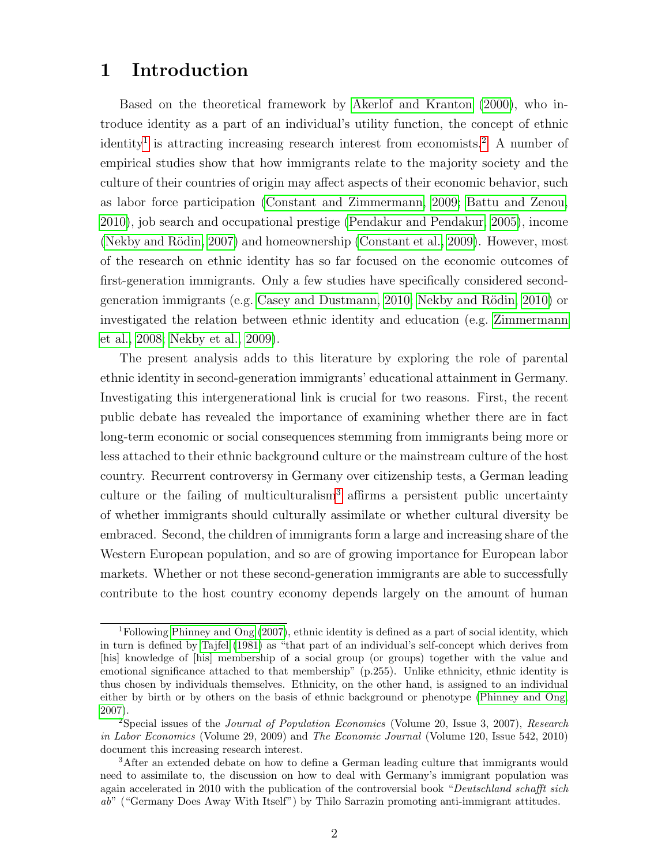## 1 Introduction

Based on the theoretical framework by [Akerlof and Kranton](#page-19-0) [\(2000\)](#page-19-0), who introduce identity as a part of an individual's utility function, the concept of ethnic identity<sup>[1](#page-1-0)</sup> is attracting increasing research interest from economists.<sup>[2](#page-1-1)</sup> A number of empirical studies show that how immigrants relate to the majority society and the culture of their countries of origin may affect aspects of their economic behavior, such as labor force participation [\(Constant and Zimmermann, 2009;](#page-20-0) [Battu and Zenou,](#page-19-1) [2010\)](#page-19-1), job search and occupational prestige [\(Pendakur and Pendakur, 2005\)](#page-21-0), income (Nekby and Rödin, 2007) and homeownership [\(Constant et al., 2009\)](#page-20-2). However, most of the research on ethnic identity has so far focused on the economic outcomes of first-generation immigrants. Only a few studies have specifically considered second-generation immigrants (e.g. [Casey and Dustmann, 2010;](#page-19-2) Nekby and Rödin, 2010) or investigated the relation between ethnic identity and education (e.g. [Zimmermann](#page-22-0) [et al., 2008;](#page-22-0) [Nekby et al., 2009\)](#page-21-2).

The present analysis adds to this literature by exploring the role of parental ethnic identity in second-generation immigrants' educational attainment in Germany. Investigating this intergenerational link is crucial for two reasons. First, the recent public debate has revealed the importance of examining whether there are in fact long-term economic or social consequences stemming from immigrants being more or less attached to their ethnic background culture or the mainstream culture of the host country. Recurrent controversy in Germany over citizenship tests, a German leading culture or the failing of multiculturalism<sup>[3](#page-1-2)</sup> affirms a persistent public uncertainty of whether immigrants should culturally assimilate or whether cultural diversity be embraced. Second, the children of immigrants form a large and increasing share of the Western European population, and so are of growing importance for European labor markets. Whether or not these second-generation immigrants are able to successfully contribute to the host country economy depends largely on the amount of human

<span id="page-1-0"></span><sup>1</sup>Following [Phinney and Ong](#page-21-3) [\(2007\)](#page-21-3), ethnic identity is defined as a part of social identity, which in turn is defined by [Tajfel](#page-22-1) [\(1981\)](#page-22-1) as "that part of an individual's self-concept which derives from [his] knowledge of [his] membership of a social group (or groups) together with the value and emotional significance attached to that membership" (p.255). Unlike ethnicity, ethnic identity is thus chosen by individuals themselves. Ethnicity, on the other hand, is assigned to an individual either by birth or by others on the basis of ethnic background or phenotype [\(Phinney and Ong,](#page-21-3) [2007\)](#page-21-3).

<span id="page-1-1"></span><sup>&</sup>lt;sup>2</sup>Special issues of the *Journal of Population Economics* (Volume 20, Issue 3, 2007), Research in Labor Economics (Volume 29, 2009) and The Economic Journal (Volume 120, Issue 542, 2010) document this increasing research interest.

<span id="page-1-2"></span><sup>&</sup>lt;sup>3</sup>After an extended debate on how to define a German leading culture that immigrants would need to assimilate to, the discussion on how to deal with Germany's immigrant population was again accelerated in 2010 with the publication of the controversial book "Deutschland schafft sich ab" ("Germany Does Away With Itself") by Thilo Sarrazin promoting anti-immigrant attitudes.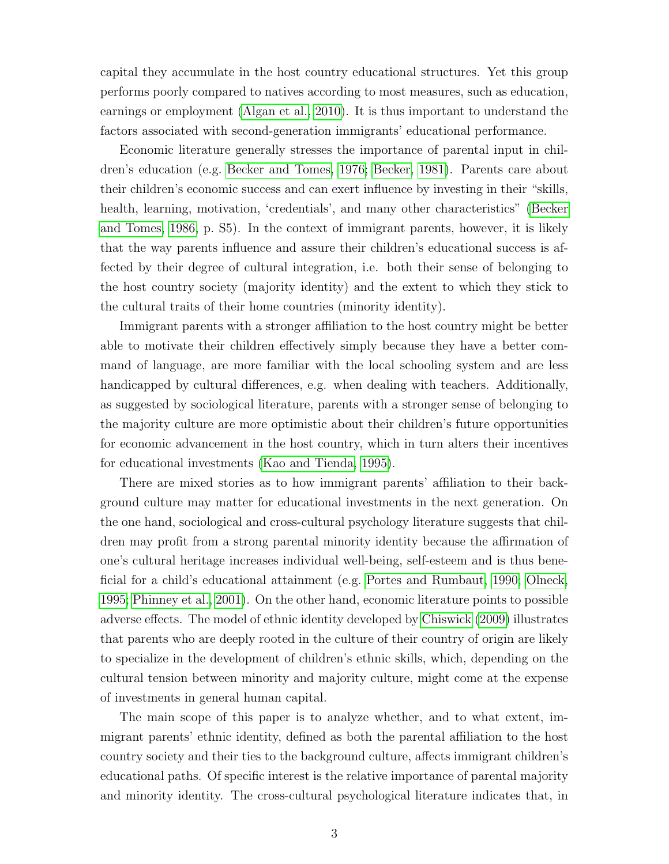capital they accumulate in the host country educational structures. Yet this group performs poorly compared to natives according to most measures, such as education, earnings or employment [\(Algan et al., 2010\)](#page-19-3). It is thus important to understand the factors associated with second-generation immigrants' educational performance.

Economic literature generally stresses the importance of parental input in children's education (e.g. [Becker and Tomes, 1976;](#page-19-4) [Becker, 1981\)](#page-19-5). Parents care about their children's economic success and can exert influence by investing in their "skills, health, learning, motivation, 'credentials', and many other characteristics" [\(Becker](#page-19-6) [and Tomes, 1986,](#page-19-6) p. S5). In the context of immigrant parents, however, it is likely that the way parents influence and assure their children's educational success is affected by their degree of cultural integration, i.e. both their sense of belonging to the host country society (majority identity) and the extent to which they stick to the cultural traits of their home countries (minority identity).

Immigrant parents with a stronger affiliation to the host country might be better able to motivate their children effectively simply because they have a better command of language, are more familiar with the local schooling system and are less handicapped by cultural differences, e.g. when dealing with teachers. Additionally, as suggested by sociological literature, parents with a stronger sense of belonging to the majority culture are more optimistic about their children's future opportunities for economic advancement in the host country, which in turn alters their incentives for educational investments [\(Kao and Tienda, 1995\)](#page-20-3).

There are mixed stories as to how immigrant parents' affiliation to their background culture may matter for educational investments in the next generation. On the one hand, sociological and cross-cultural psychology literature suggests that children may profit from a strong parental minority identity because the affirmation of one's cultural heritage increases individual well-being, self-esteem and is thus beneficial for a child's educational attainment (e.g. [Portes and Rumbaut, 1990;](#page-21-4) [Olneck,](#page-21-5) [1995;](#page-21-5) [Phinney et al., 2001\)](#page-21-6). On the other hand, economic literature points to possible adverse effects. The model of ethnic identity developed by [Chiswick](#page-20-4) [\(2009\)](#page-20-4) illustrates that parents who are deeply rooted in the culture of their country of origin are likely to specialize in the development of children's ethnic skills, which, depending on the cultural tension between minority and majority culture, might come at the expense of investments in general human capital.

The main scope of this paper is to analyze whether, and to what extent, immigrant parents' ethnic identity, defined as both the parental affiliation to the host country society and their ties to the background culture, affects immigrant children's educational paths. Of specific interest is the relative importance of parental majority and minority identity. The cross-cultural psychological literature indicates that, in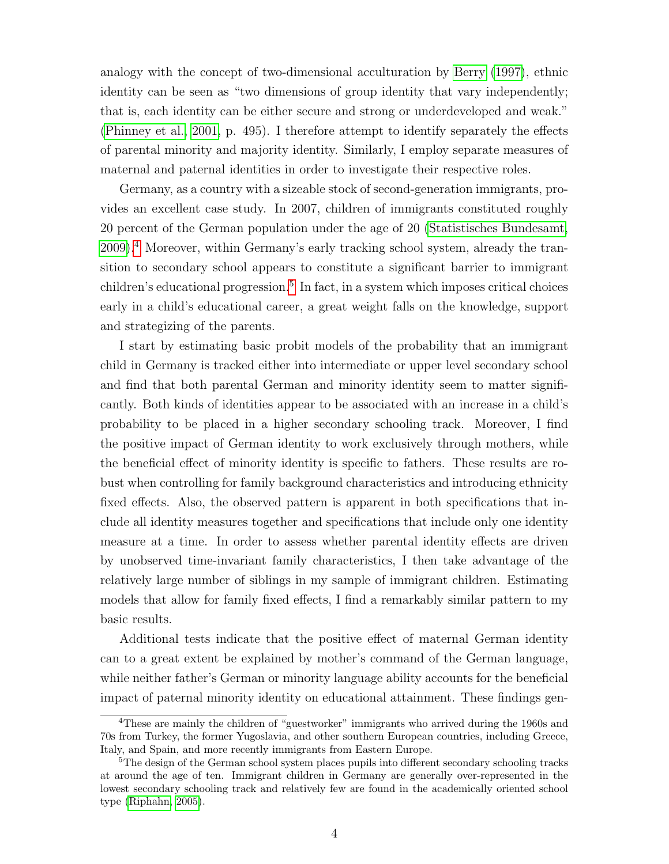analogy with the concept of two-dimensional acculturation by [Berry](#page-19-7) [\(1997\)](#page-19-7), ethnic identity can be seen as "two dimensions of group identity that vary independently; that is, each identity can be either secure and strong or underdeveloped and weak." [\(Phinney et al., 2001,](#page-21-6) p. 495). I therefore attempt to identify separately the effects of parental minority and majority identity. Similarly, I employ separate measures of maternal and paternal identities in order to investigate their respective roles.

Germany, as a country with a sizeable stock of second-generation immigrants, provides an excellent case study. In 2007, children of immigrants constituted roughly 20 percent of the German population under the age of 20 [\(Statistisches Bundesamt,](#page-22-2) [2009\)](#page-22-2).[4](#page-3-0) Moreover, within Germany's early tracking school system, already the transition to secondary school appears to constitute a significant barrier to immigrant children's educational progression.<sup>[5](#page-3-1)</sup> In fact, in a system which imposes critical choices early in a child's educational career, a great weight falls on the knowledge, support and strategizing of the parents.

I start by estimating basic probit models of the probability that an immigrant child in Germany is tracked either into intermediate or upper level secondary school and find that both parental German and minority identity seem to matter significantly. Both kinds of identities appear to be associated with an increase in a child's probability to be placed in a higher secondary schooling track. Moreover, I find the positive impact of German identity to work exclusively through mothers, while the beneficial effect of minority identity is specific to fathers. These results are robust when controlling for family background characteristics and introducing ethnicity fixed effects. Also, the observed pattern is apparent in both specifications that include all identity measures together and specifications that include only one identity measure at a time. In order to assess whether parental identity effects are driven by unobserved time-invariant family characteristics, I then take advantage of the relatively large number of siblings in my sample of immigrant children. Estimating models that allow for family fixed effects, I find a remarkably similar pattern to my basic results.

Additional tests indicate that the positive effect of maternal German identity can to a great extent be explained by mother's command of the German language, while neither father's German or minority language ability accounts for the beneficial impact of paternal minority identity on educational attainment. These findings gen-

<span id="page-3-0"></span><sup>4</sup>These are mainly the children of "guestworker" immigrants who arrived during the 1960s and 70s from Turkey, the former Yugoslavia, and other southern European countries, including Greece, Italy, and Spain, and more recently immigrants from Eastern Europe.

<span id="page-3-1"></span><sup>&</sup>lt;sup>5</sup>The design of the German school system places pupils into different secondary schooling tracks at around the age of ten. Immigrant children in Germany are generally over-represented in the lowest secondary schooling track and relatively few are found in the academically oriented school type [\(Riphahn, 2005\)](#page-21-7).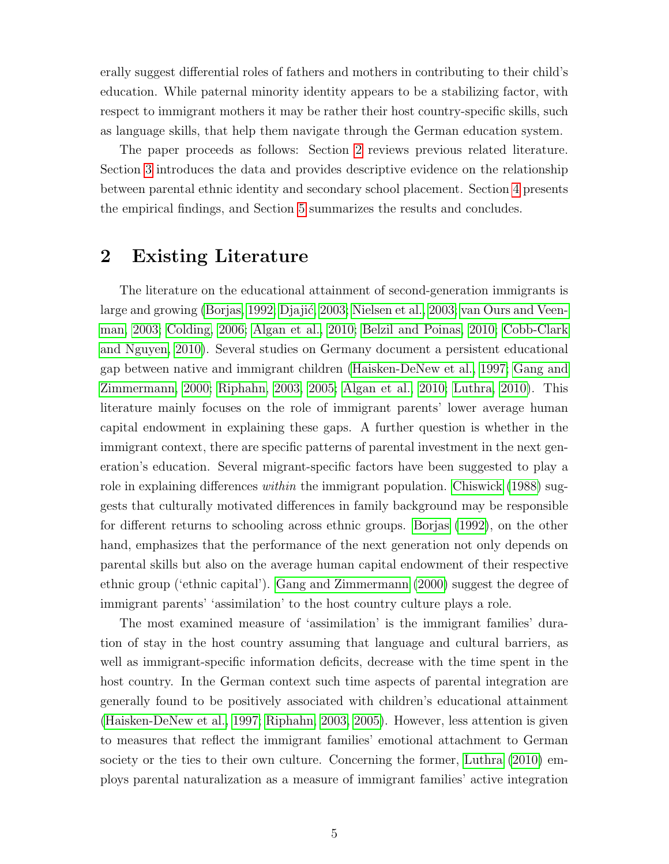erally suggest differential roles of fathers and mothers in contributing to their child's education. While paternal minority identity appears to be a stabilizing factor, with respect to immigrant mothers it may be rather their host country-specific skills, such as language skills, that help them navigate through the German education system.

The paper proceeds as follows: Section [2](#page-4-0) reviews previous related literature. Section [3](#page-6-0) introduces the data and provides descriptive evidence on the relationship between parental ethnic identity and secondary school placement. Section [4](#page-11-0) presents the empirical findings, and Section [5](#page-17-0) summarizes the results and concludes.

## <span id="page-4-0"></span>2 Existing Literature

The literature on the educational attainment of second-generation immigrants is large and growing [\(Borjas, 1992;](#page-19-8) Djajić, 2003; [Nielsen et al., 2003;](#page-21-8) [van Ours and Veen](#page-22-3)[man, 2003;](#page-22-3) [Colding, 2006;](#page-20-6) [Algan et al., 2010;](#page-19-3) [Belzil and Poinas, 2010;](#page-19-9) [Cobb-Clark](#page-20-7) [and Nguyen, 2010\)](#page-20-7). Several studies on Germany document a persistent educational gap between native and immigrant children [\(Haisken-DeNew et al., 1997;](#page-20-8) [Gang and](#page-20-9) [Zimmermann, 2000;](#page-20-9) [Riphahn, 2003,](#page-21-9) [2005;](#page-21-7) [Algan et al., 2010;](#page-19-3) [Luthra, 2010\)](#page-20-10). This literature mainly focuses on the role of immigrant parents' lower average human capital endowment in explaining these gaps. A further question is whether in the immigrant context, there are specific patterns of parental investment in the next generation's education. Several migrant-specific factors have been suggested to play a role in explaining differences *within* the immigrant population. [Chiswick](#page-20-11) [\(1988\)](#page-20-11) suggests that culturally motivated differences in family background may be responsible for different returns to schooling across ethnic groups. [Borjas](#page-19-8) [\(1992\)](#page-19-8), on the other hand, emphasizes that the performance of the next generation not only depends on parental skills but also on the average human capital endowment of their respective ethnic group ('ethnic capital'). [Gang and Zimmermann](#page-20-9) [\(2000\)](#page-20-9) suggest the degree of immigrant parents' 'assimilation' to the host country culture plays a role.

The most examined measure of 'assimilation' is the immigrant families' duration of stay in the host country assuming that language and cultural barriers, as well as immigrant-specific information deficits, decrease with the time spent in the host country. In the German context such time aspects of parental integration are generally found to be positively associated with children's educational attainment [\(Haisken-DeNew et al., 1997;](#page-20-8) [Riphahn, 2003,](#page-21-9) [2005\)](#page-21-7). However, less attention is given to measures that reflect the immigrant families' emotional attachment to German society or the ties to their own culture. Concerning the former, [Luthra](#page-20-10) [\(2010\)](#page-20-10) employs parental naturalization as a measure of immigrant families' active integration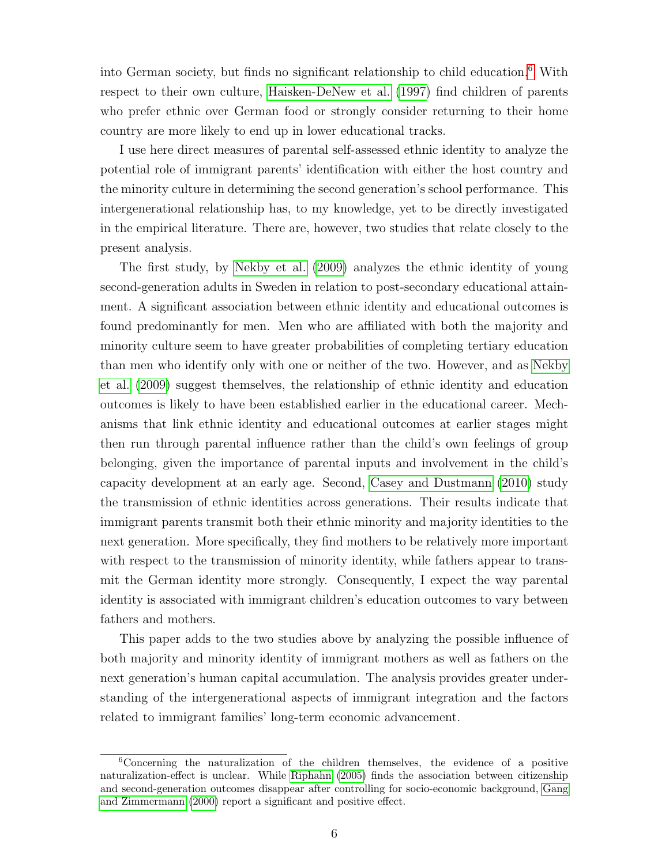into German society, but finds no significant relationship to child education.[6](#page-5-0) With respect to their own culture, [Haisken-DeNew et al.](#page-20-8) [\(1997\)](#page-20-8) find children of parents who prefer ethnic over German food or strongly consider returning to their home country are more likely to end up in lower educational tracks.

I use here direct measures of parental self-assessed ethnic identity to analyze the potential role of immigrant parents' identification with either the host country and the minority culture in determining the second generation's school performance. This intergenerational relationship has, to my knowledge, yet to be directly investigated in the empirical literature. There are, however, two studies that relate closely to the present analysis.

The first study, by [Nekby et al.](#page-21-2) [\(2009\)](#page-21-2) analyzes the ethnic identity of young second-generation adults in Sweden in relation to post-secondary educational attainment. A significant association between ethnic identity and educational outcomes is found predominantly for men. Men who are affiliated with both the majority and minority culture seem to have greater probabilities of completing tertiary education than men who identify only with one or neither of the two. However, and as [Nekby](#page-21-2) [et al.](#page-21-2) [\(2009\)](#page-21-2) suggest themselves, the relationship of ethnic identity and education outcomes is likely to have been established earlier in the educational career. Mechanisms that link ethnic identity and educational outcomes at earlier stages might then run through parental influence rather than the child's own feelings of group belonging, given the importance of parental inputs and involvement in the child's capacity development at an early age. Second, [Casey and Dustmann](#page-19-2) [\(2010\)](#page-19-2) study the transmission of ethnic identities across generations. Their results indicate that immigrant parents transmit both their ethnic minority and majority identities to the next generation. More specifically, they find mothers to be relatively more important with respect to the transmission of minority identity, while fathers appear to transmit the German identity more strongly. Consequently, I expect the way parental identity is associated with immigrant children's education outcomes to vary between fathers and mothers.

This paper adds to the two studies above by analyzing the possible influence of both majority and minority identity of immigrant mothers as well as fathers on the next generation's human capital accumulation. The analysis provides greater understanding of the intergenerational aspects of immigrant integration and the factors related to immigrant families' long-term economic advancement.

<span id="page-5-0"></span><sup>6</sup>Concerning the naturalization of the children themselves, the evidence of a positive naturalization-effect is unclear. While [Riphahn](#page-21-7) [\(2005\)](#page-21-7) finds the association between citizenship and second-generation outcomes disappear after controlling for socio-economic background, [Gang](#page-20-9) [and Zimmermann](#page-20-9) [\(2000\)](#page-20-9) report a significant and positive effect.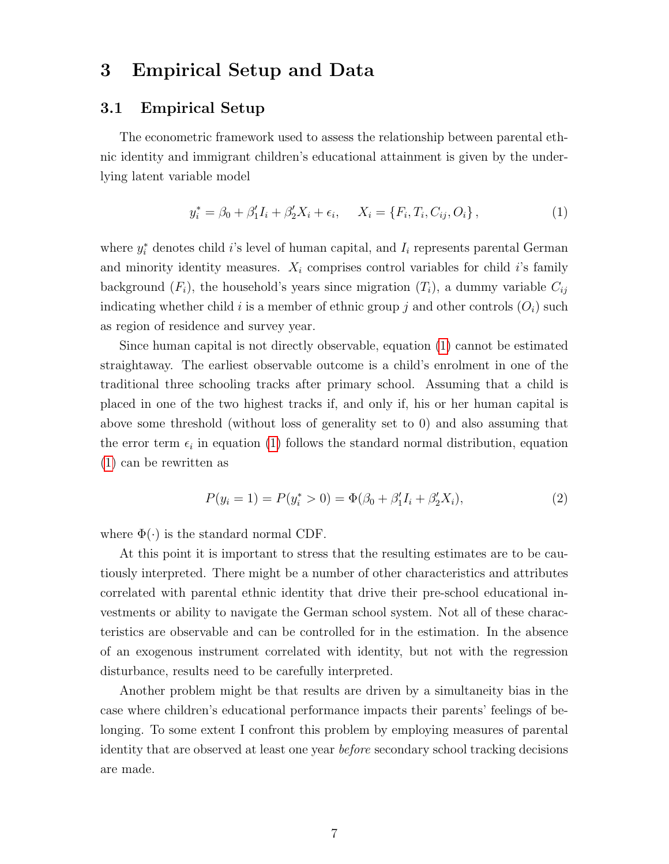## <span id="page-6-0"></span>3 Empirical Setup and Data

### 3.1 Empirical Setup

The econometric framework used to assess the relationship between parental ethnic identity and immigrant children's educational attainment is given by the underlying latent variable model

<span id="page-6-1"></span>
$$
y_i^* = \beta_0 + \beta_1 I_i + \beta_2 X_i + \epsilon_i, \quad X_i = \{F_i, T_i, C_{ij}, O_i\},\tag{1}
$$

where  $y_i^*$  denotes child i's level of human capital, and  $I_i$  represents parental German and minority identity measures.  $X_i$  comprises control variables for child i's family background  $(F_i)$ , the household's years since migration  $(T_i)$ , a dummy variable  $C_{ij}$ indicating whether child i is a member of ethnic group j and other controls  $(O_i)$  such as region of residence and survey year.

Since human capital is not directly observable, equation [\(1\)](#page-6-1) cannot be estimated straightaway. The earliest observable outcome is a child's enrolment in one of the traditional three schooling tracks after primary school. Assuming that a child is placed in one of the two highest tracks if, and only if, his or her human capital is above some threshold (without loss of generality set to 0) and also assuming that the error term  $\epsilon_i$  in equation [\(1\)](#page-6-1) follows the standard normal distribution, equation [\(1\)](#page-6-1) can be rewritten as

$$
P(y_i = 1) = P(y_i^* > 0) = \Phi(\beta_0 + \beta_1 I_i + \beta_2' X_i),
$$
\n(2)

where  $\Phi(\cdot)$  is the standard normal CDF.

At this point it is important to stress that the resulting estimates are to be cautiously interpreted. There might be a number of other characteristics and attributes correlated with parental ethnic identity that drive their pre-school educational investments or ability to navigate the German school system. Not all of these characteristics are observable and can be controlled for in the estimation. In the absence of an exogenous instrument correlated with identity, but not with the regression disturbance, results need to be carefully interpreted.

Another problem might be that results are driven by a simultaneity bias in the case where children's educational performance impacts their parents' feelings of belonging. To some extent I confront this problem by employing measures of parental identity that are observed at least one year before secondary school tracking decisions are made.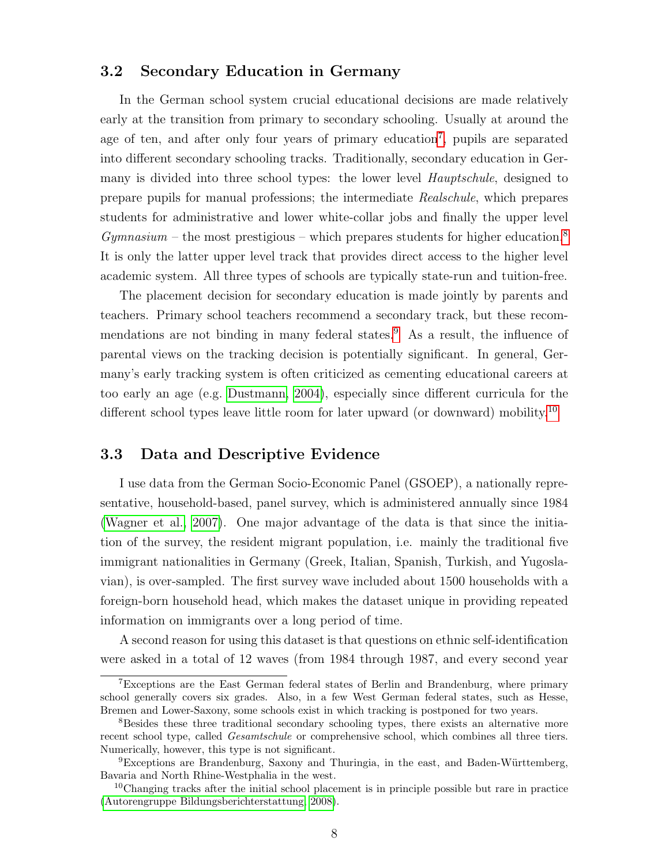## 3.2 Secondary Education in Germany

In the German school system crucial educational decisions are made relatively early at the transition from primary to secondary schooling. Usually at around the age of ten, and after only four years of primary education<sup>[7](#page-7-0)</sup>, pupils are separated into different secondary schooling tracks. Traditionally, secondary education in Germany is divided into three school types: the lower level *Hauptschule*, designed to prepare pupils for manual professions; the intermediate Realschule, which prepares students for administrative and lower white-collar jobs and finally the upper level  $Gymnasium$  – the most prestigious – which prepares students for higher education.<sup>[8](#page-7-1)</sup> It is only the latter upper level track that provides direct access to the higher level academic system. All three types of schools are typically state-run and tuition-free.

The placement decision for secondary education is made jointly by parents and teachers. Primary school teachers recommend a secondary track, but these recom-mendations are not binding in many federal states.<sup>[9](#page-7-2)</sup> As a result, the influence of parental views on the tracking decision is potentially significant. In general, Germany's early tracking system is often criticized as cementing educational careers at too early an age (e.g. [Dustmann, 2004\)](#page-20-12), especially since different curricula for the different school types leave little room for later upward (or downward) mobility.[10](#page-7-3)

## 3.3 Data and Descriptive Evidence

I use data from the German Socio-Economic Panel (GSOEP), a nationally representative, household-based, panel survey, which is administered annually since 1984 [\(Wagner et al., 2007\)](#page-22-4). One major advantage of the data is that since the initiation of the survey, the resident migrant population, i.e. mainly the traditional five immigrant nationalities in Germany (Greek, Italian, Spanish, Turkish, and Yugoslavian), is over-sampled. The first survey wave included about 1500 households with a foreign-born household head, which makes the dataset unique in providing repeated information on immigrants over a long period of time.

A second reason for using this dataset is that questions on ethnic self-identification were asked in a total of 12 waves (from 1984 through 1987, and every second year

<span id="page-7-0"></span><sup>7</sup>Exceptions are the East German federal states of Berlin and Brandenburg, where primary school generally covers six grades. Also, in a few West German federal states, such as Hesse, Bremen and Lower-Saxony, some schools exist in which tracking is postponed for two years.

<span id="page-7-1"></span><sup>8</sup>Besides these three traditional secondary schooling types, there exists an alternative more recent school type, called *Gesamtschule* or comprehensive school, which combines all three tiers. Numerically, however, this type is not significant.

<span id="page-7-2"></span> $9E$ xceptions are Brandenburg, Saxony and Thuringia, in the east, and Baden-Württemberg, Bavaria and North Rhine-Westphalia in the west.

<span id="page-7-3"></span><sup>10</sup>Changing tracks after the initial school placement is in principle possible but rare in practice [\(Autorengruppe Bildungsberichterstattung, 2008\)](#page-19-10).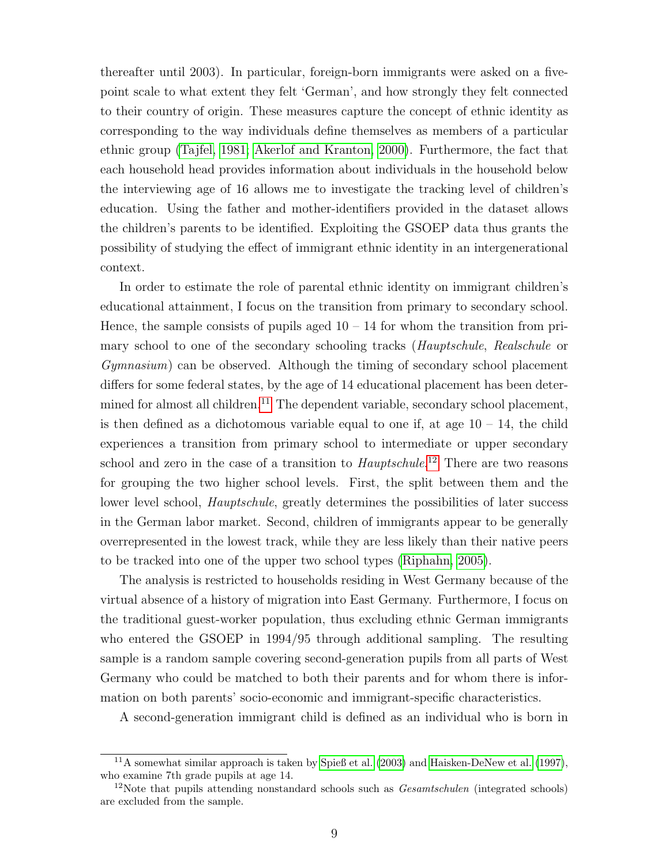thereafter until 2003). In particular, foreign-born immigrants were asked on a fivepoint scale to what extent they felt 'German', and how strongly they felt connected to their country of origin. These measures capture the concept of ethnic identity as corresponding to the way individuals define themselves as members of a particular ethnic group [\(Tajfel, 1981;](#page-22-1) [Akerlof and Kranton, 2000\)](#page-19-0). Furthermore, the fact that each household head provides information about individuals in the household below the interviewing age of 16 allows me to investigate the tracking level of children's education. Using the father and mother-identifiers provided in the dataset allows the children's parents to be identified. Exploiting the GSOEP data thus grants the possibility of studying the effect of immigrant ethnic identity in an intergenerational context.

In order to estimate the role of parental ethnic identity on immigrant children's educational attainment, I focus on the transition from primary to secondary school. Hence, the sample consists of pupils aged  $10 - 14$  for whom the transition from primary school to one of the secondary schooling tracks (*Hauptschule, Realschule* or Gymnasium) can be observed. Although the timing of secondary school placement differs for some federal states, by the age of 14 educational placement has been deter-mined for almost all children.<sup>[11](#page-8-0)</sup> The dependent variable, secondary school placement, is then defined as a dichotomous variable equal to one if, at age  $10 - 14$ , the child experiences a transition from primary school to intermediate or upper secondary school and zero in the case of a transition to  $Hauptschule.$ <sup>[12](#page-8-1)</sup> There are two reasons for grouping the two higher school levels. First, the split between them and the lower level school, *Hauptschule*, greatly determines the possibilities of later success in the German labor market. Second, children of immigrants appear to be generally overrepresented in the lowest track, while they are less likely than their native peers to be tracked into one of the upper two school types [\(Riphahn, 2005\)](#page-21-7).

The analysis is restricted to households residing in West Germany because of the virtual absence of a history of migration into East Germany. Furthermore, I focus on the traditional guest-worker population, thus excluding ethnic German immigrants who entered the GSOEP in 1994/95 through additional sampling. The resulting sample is a random sample covering second-generation pupils from all parts of West Germany who could be matched to both their parents and for whom there is information on both parents' socio-economic and immigrant-specific characteristics.

A second-generation immigrant child is defined as an individual who is born in

<span id="page-8-0"></span> $11$ A somewhat similar approach is taken by [Spieß et al.](#page-21-10) [\(2003\)](#page-21-10) and [Haisken-DeNew et al.](#page-20-8) [\(1997\)](#page-20-8), who examine 7th grade pupils at age 14.

<span id="page-8-1"></span> $12$ Note that pupils attending nonstandard schools such as *Gesamtschulen* (integrated schools) are excluded from the sample.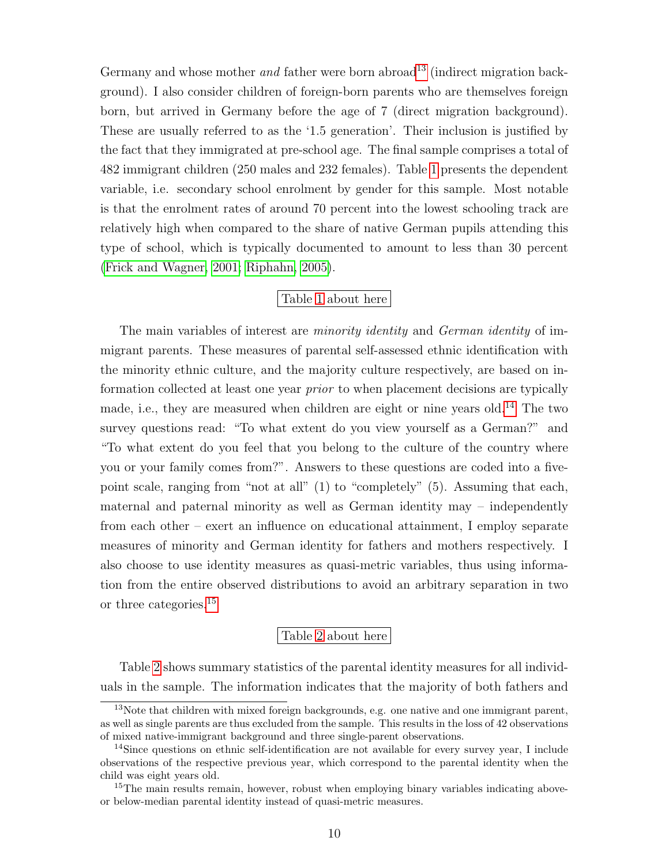Germany and whose mother *and* father were born abroad<sup>[13](#page-9-0)</sup> (indirect migration background). I also consider children of foreign-born parents who are themselves foreign born, but arrived in Germany before the age of 7 (direct migration background). These are usually referred to as the '1.5 generation'. Their inclusion is justified by the fact that they immigrated at pre-school age. The final sample comprises a total of 482 immigrant children (250 males and 232 females). Table [1](#page-23-0) presents the dependent variable, i.e. secondary school enrolment by gender for this sample. Most notable is that the enrolment rates of around 70 percent into the lowest schooling track are relatively high when compared to the share of native German pupils attending this type of school, which is typically documented to amount to less than 30 percent [\(Frick and Wagner, 2001;](#page-20-13) [Riphahn, 2005\)](#page-21-7).

#### Table [1](#page-23-0) about here

The main variables of interest are *minority identity* and *German identity* of immigrant parents. These measures of parental self-assessed ethnic identification with the minority ethnic culture, and the majority culture respectively, are based on information collected at least one year prior to when placement decisions are typically made, i.e., they are measured when children are eight or nine years old.[14](#page-9-1) The two survey questions read: "To what extent do you view yourself as a German?" and "To what extent do you feel that you belong to the culture of the country where you or your family comes from?". Answers to these questions are coded into a fivepoint scale, ranging from "not at all" (1) to "completely" (5). Assuming that each, maternal and paternal minority as well as German identity may – independently from each other – exert an influence on educational attainment, I employ separate measures of minority and German identity for fathers and mothers respectively. I also choose to use identity measures as quasi-metric variables, thus using information from the entire observed distributions to avoid an arbitrary separation in two or three categories.[15](#page-9-2)

#### Table [2](#page-23-1) about here

Table [2](#page-23-1) shows summary statistics of the parental identity measures for all individuals in the sample. The information indicates that the majority of both fathers and

<span id="page-9-0"></span><sup>&</sup>lt;sup>13</sup>Note that children with mixed foreign backgrounds, e.g. one native and one immigrant parent, as well as single parents are thus excluded from the sample. This results in the loss of 42 observations of mixed native-immigrant background and three single-parent observations.

<span id="page-9-1"></span><sup>&</sup>lt;sup>14</sup>Since questions on ethnic self-identification are not available for every survey year, I include observations of the respective previous year, which correspond to the parental identity when the child was eight years old.

<span id="page-9-2"></span><sup>&</sup>lt;sup>15</sup>The main results remain, however, robust when employing binary variables indicating aboveor below-median parental identity instead of quasi-metric measures.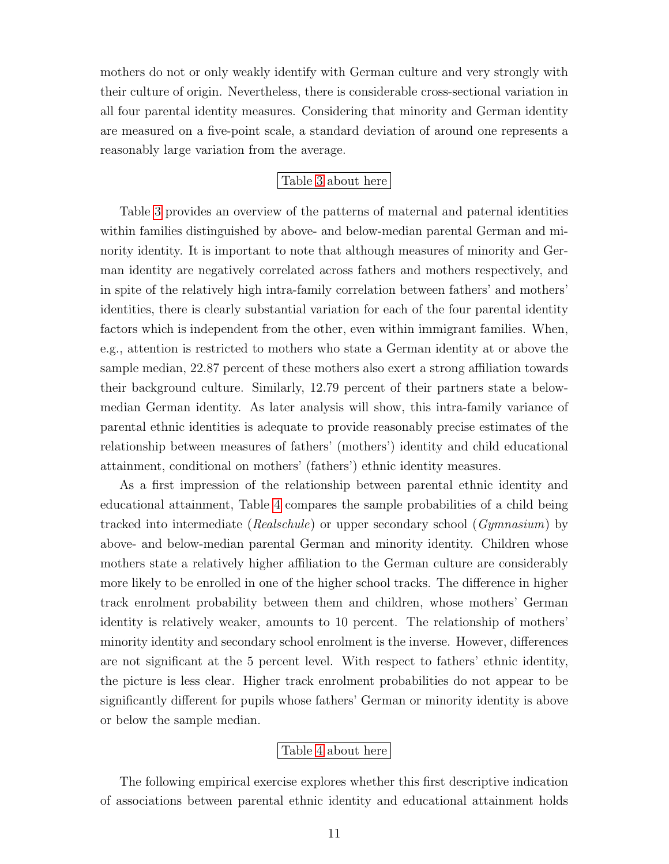mothers do not or only weakly identify with German culture and very strongly with their culture of origin. Nevertheless, there is considerable cross-sectional variation in all four parental identity measures. Considering that minority and German identity are measured on a five-point scale, a standard deviation of around one represents a reasonably large variation from the average.

### Table [3](#page-24-0) about here

Table [3](#page-24-0) provides an overview of the patterns of maternal and paternal identities within families distinguished by above- and below-median parental German and minority identity. It is important to note that although measures of minority and German identity are negatively correlated across fathers and mothers respectively, and in spite of the relatively high intra-family correlation between fathers' and mothers' identities, there is clearly substantial variation for each of the four parental identity factors which is independent from the other, even within immigrant families. When, e.g., attention is restricted to mothers who state a German identity at or above the sample median, 22.87 percent of these mothers also exert a strong affiliation towards their background culture. Similarly, 12.79 percent of their partners state a belowmedian German identity. As later analysis will show, this intra-family variance of parental ethnic identities is adequate to provide reasonably precise estimates of the relationship between measures of fathers' (mothers') identity and child educational attainment, conditional on mothers' (fathers') ethnic identity measures.

As a first impression of the relationship between parental ethnic identity and educational attainment, Table [4](#page-25-0) compares the sample probabilities of a child being tracked into intermediate (Realschule) or upper secondary school (Gymnasium) by above- and below-median parental German and minority identity. Children whose mothers state a relatively higher affiliation to the German culture are considerably more likely to be enrolled in one of the higher school tracks. The difference in higher track enrolment probability between them and children, whose mothers' German identity is relatively weaker, amounts to 10 percent. The relationship of mothers' minority identity and secondary school enrolment is the inverse. However, differences are not significant at the 5 percent level. With respect to fathers' ethnic identity, the picture is less clear. Higher track enrolment probabilities do not appear to be significantly different for pupils whose fathers' German or minority identity is above or below the sample median.

#### Table [4](#page-25-0) about here

The following empirical exercise explores whether this first descriptive indication of associations between parental ethnic identity and educational attainment holds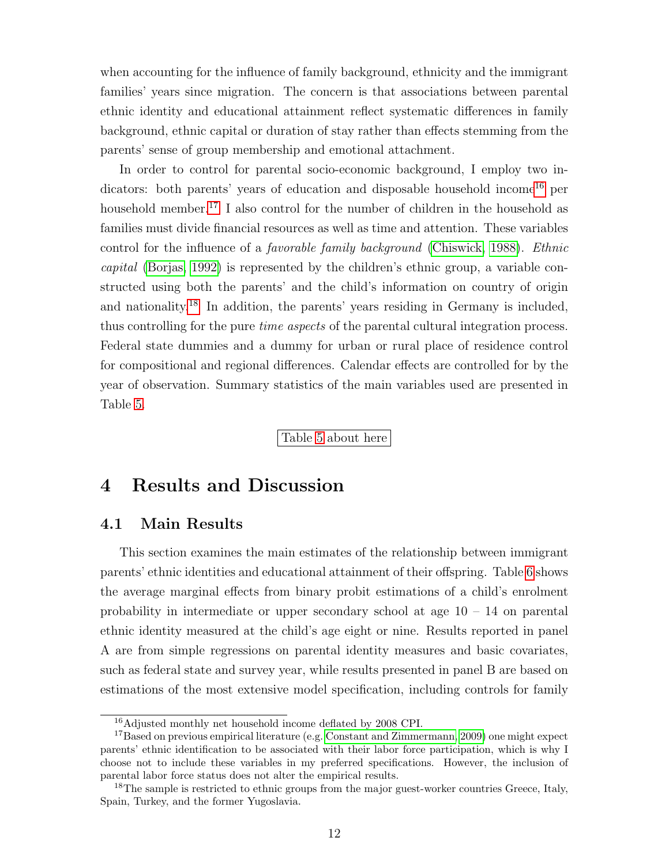when accounting for the influence of family background, ethnicity and the immigrant families' years since migration. The concern is that associations between parental ethnic identity and educational attainment reflect systematic differences in family background, ethnic capital or duration of stay rather than effects stemming from the parents' sense of group membership and emotional attachment.

In order to control for parental socio-economic background, I employ two in-dicators: both parents' years of education and disposable household income<sup>[16](#page-11-1)</sup> per household member.<sup>[17](#page-11-2)</sup> I also control for the number of children in the household as families must divide financial resources as well as time and attention. These variables control for the influence of a favorable family background [\(Chiswick, 1988\)](#page-20-11). Ethnic capital [\(Borjas, 1992\)](#page-19-8) is represented by the children's ethnic group, a variable constructed using both the parents' and the child's information on country of origin and nationality.[18](#page-11-3) In addition, the parents' years residing in Germany is included, thus controlling for the pure *time aspects* of the parental cultural integration process. Federal state dummies and a dummy for urban or rural place of residence control for compositional and regional differences. Calendar effects are controlled for by the year of observation. Summary statistics of the main variables used are presented in Table [5.](#page-25-1)

Table [5](#page-25-1) about here

## <span id="page-11-0"></span>4 Results and Discussion

## <span id="page-11-4"></span>4.1 Main Results

This section examines the main estimates of the relationship between immigrant parents' ethnic identities and educational attainment of their offspring. Table [6](#page-26-0) shows the average marginal effects from binary probit estimations of a child's enrolment probability in intermediate or upper secondary school at age  $10 - 14$  on parental ethnic identity measured at the child's age eight or nine. Results reported in panel A are from simple regressions on parental identity measures and basic covariates, such as federal state and survey year, while results presented in panel B are based on estimations of the most extensive model specification, including controls for family

<span id="page-11-2"></span><span id="page-11-1"></span><sup>16</sup>Adjusted monthly net household income deflated by 2008 CPI.

<sup>&</sup>lt;sup>17</sup>Based on previous empirical literature (e.g. [Constant and Zimmermann, 2009\)](#page-20-0) one might expect parents' ethnic identification to be associated with their labor force participation, which is why I choose not to include these variables in my preferred specifications. However, the inclusion of parental labor force status does not alter the empirical results.

<span id="page-11-3"></span><sup>&</sup>lt;sup>18</sup>The sample is restricted to ethnic groups from the major guest-worker countries Greece, Italy, Spain, Turkey, and the former Yugoslavia.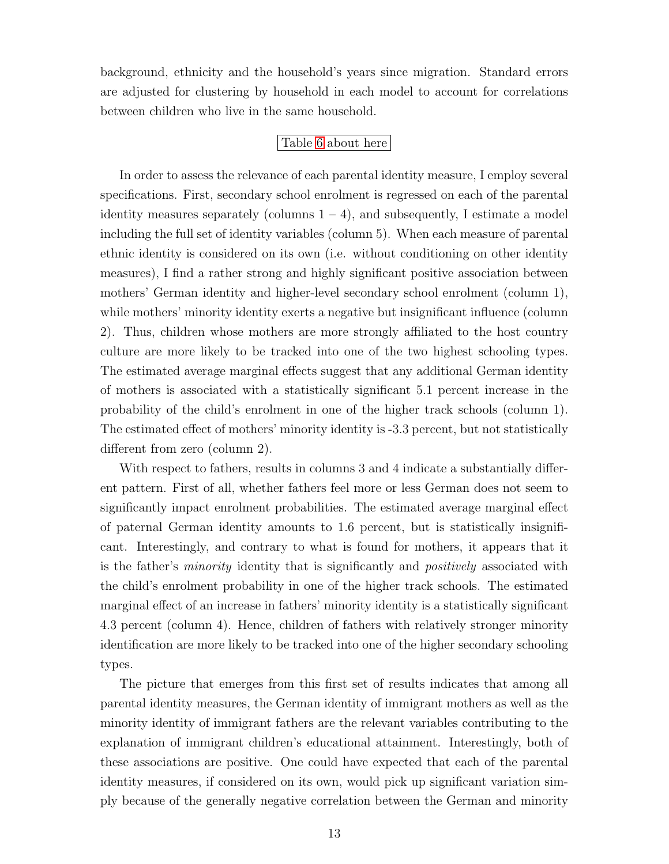background, ethnicity and the household's years since migration. Standard errors are adjusted for clustering by household in each model to account for correlations between children who live in the same household.

#### Table [6](#page-26-0) about here

In order to assess the relevance of each parental identity measure, I employ several specifications. First, secondary school enrolment is regressed on each of the parental identity measures separately (columns  $1 - 4$ ), and subsequently, I estimate a model including the full set of identity variables (column 5). When each measure of parental ethnic identity is considered on its own (i.e. without conditioning on other identity measures), I find a rather strong and highly significant positive association between mothers' German identity and higher-level secondary school enrolment (column 1), while mothers' minority identity exerts a negative but insignificant influence (column 2). Thus, children whose mothers are more strongly affiliated to the host country culture are more likely to be tracked into one of the two highest schooling types. The estimated average marginal effects suggest that any additional German identity of mothers is associated with a statistically significant 5.1 percent increase in the probability of the child's enrolment in one of the higher track schools (column 1). The estimated effect of mothers' minority identity is -3.3 percent, but not statistically different from zero (column 2).

With respect to fathers, results in columns 3 and 4 indicate a substantially different pattern. First of all, whether fathers feel more or less German does not seem to significantly impact enrolment probabilities. The estimated average marginal effect of paternal German identity amounts to 1.6 percent, but is statistically insignificant. Interestingly, and contrary to what is found for mothers, it appears that it is the father's *minority* identity that is significantly and *positively* associated with the child's enrolment probability in one of the higher track schools. The estimated marginal effect of an increase in fathers' minority identity is a statistically significant 4.3 percent (column 4). Hence, children of fathers with relatively stronger minority identification are more likely to be tracked into one of the higher secondary schooling types.

The picture that emerges from this first set of results indicates that among all parental identity measures, the German identity of immigrant mothers as well as the minority identity of immigrant fathers are the relevant variables contributing to the explanation of immigrant children's educational attainment. Interestingly, both of these associations are positive. One could have expected that each of the parental identity measures, if considered on its own, would pick up significant variation simply because of the generally negative correlation between the German and minority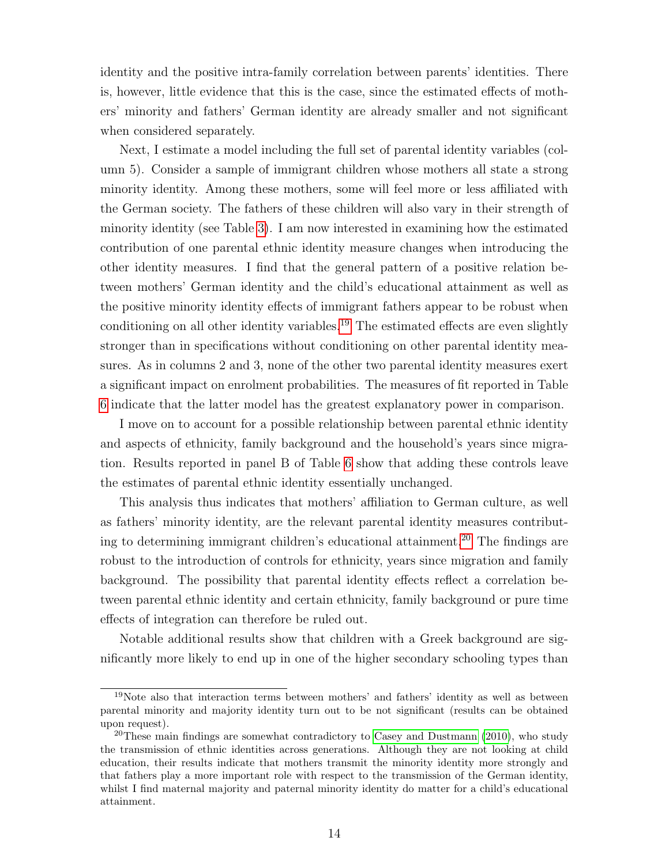identity and the positive intra-family correlation between parents' identities. There is, however, little evidence that this is the case, since the estimated effects of mothers' minority and fathers' German identity are already smaller and not significant when considered separately.

Next, I estimate a model including the full set of parental identity variables (column 5). Consider a sample of immigrant children whose mothers all state a strong minority identity. Among these mothers, some will feel more or less affiliated with the German society. The fathers of these children will also vary in their strength of minority identity (see Table [3\)](#page-24-0). I am now interested in examining how the estimated contribution of one parental ethnic identity measure changes when introducing the other identity measures. I find that the general pattern of a positive relation between mothers' German identity and the child's educational attainment as well as the positive minority identity effects of immigrant fathers appear to be robust when conditioning on all other identity variables.<sup>[19](#page-13-0)</sup> The estimated effects are even slightly stronger than in specifications without conditioning on other parental identity measures. As in columns 2 and 3, none of the other two parental identity measures exert a significant impact on enrolment probabilities. The measures of fit reported in Table [6](#page-26-0) indicate that the latter model has the greatest explanatory power in comparison.

I move on to account for a possible relationship between parental ethnic identity and aspects of ethnicity, family background and the household's years since migration. Results reported in panel B of Table [6](#page-26-0) show that adding these controls leave the estimates of parental ethnic identity essentially unchanged.

This analysis thus indicates that mothers' affiliation to German culture, as well as fathers' minority identity, are the relevant parental identity measures contributing to determining immigrant children's educational attainment.[20](#page-13-1) The findings are robust to the introduction of controls for ethnicity, years since migration and family background. The possibility that parental identity effects reflect a correlation between parental ethnic identity and certain ethnicity, family background or pure time effects of integration can therefore be ruled out.

Notable additional results show that children with a Greek background are significantly more likely to end up in one of the higher secondary schooling types than

<span id="page-13-0"></span><sup>&</sup>lt;sup>19</sup>Note also that interaction terms between mothers' and fathers' identity as well as between parental minority and majority identity turn out to be not significant (results can be obtained upon request).

<span id="page-13-1"></span><sup>&</sup>lt;sup>20</sup>These main findings are somewhat contradictory to [Casey and Dustmann](#page-19-2) [\(2010\)](#page-19-2), who study the transmission of ethnic identities across generations. Although they are not looking at child education, their results indicate that mothers transmit the minority identity more strongly and that fathers play a more important role with respect to the transmission of the German identity, whilst I find maternal majority and paternal minority identity do matter for a child's educational attainment.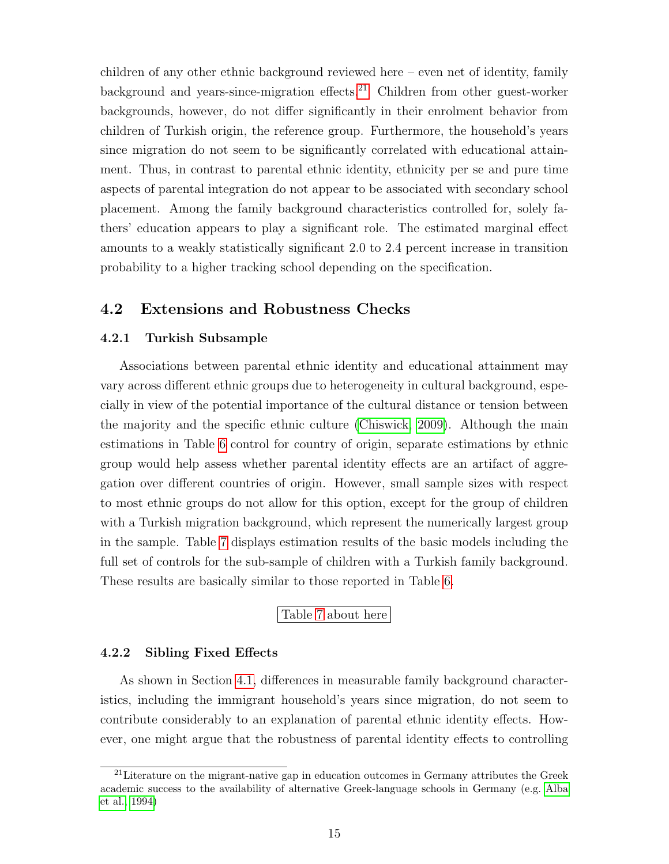children of any other ethnic background reviewed here – even net of identity, family background and years-since-migration effects.<sup>[21](#page-14-0)</sup> Children from other guest-worker backgrounds, however, do not differ significantly in their enrolment behavior from children of Turkish origin, the reference group. Furthermore, the household's years since migration do not seem to be significantly correlated with educational attainment. Thus, in contrast to parental ethnic identity, ethnicity per se and pure time aspects of parental integration do not appear to be associated with secondary school placement. Among the family background characteristics controlled for, solely fathers' education appears to play a significant role. The estimated marginal effect amounts to a weakly statistically significant 2.0 to 2.4 percent increase in transition probability to a higher tracking school depending on the specification.

### 4.2 Extensions and Robustness Checks

#### 4.2.1 Turkish Subsample

Associations between parental ethnic identity and educational attainment may vary across different ethnic groups due to heterogeneity in cultural background, especially in view of the potential importance of the cultural distance or tension between the majority and the specific ethnic culture [\(Chiswick, 2009\)](#page-20-4). Although the main estimations in Table [6](#page-26-0) control for country of origin, separate estimations by ethnic group would help assess whether parental identity effects are an artifact of aggregation over different countries of origin. However, small sample sizes with respect to most ethnic groups do not allow for this option, except for the group of children with a Turkish migration background, which represent the numerically largest group in the sample. Table [7](#page-27-0) displays estimation results of the basic models including the full set of controls for the sub-sample of children with a Turkish family background. These results are basically similar to those reported in Table [6.](#page-26-0)

### Table [7](#page-27-0) about here

#### 4.2.2 Sibling Fixed Effects

As shown in Section [4.1,](#page-11-4) differences in measurable family background characteristics, including the immigrant household's years since migration, do not seem to contribute considerably to an explanation of parental ethnic identity effects. However, one might argue that the robustness of parental identity effects to controlling

<span id="page-14-0"></span> $21$ Literature on the migrant-native gap in education outcomes in Germany attributes the Greek academic success to the availability of alternative Greek-language schools in Germany (e.g. [Alba](#page-19-11) [et al., 1994\)](#page-19-11)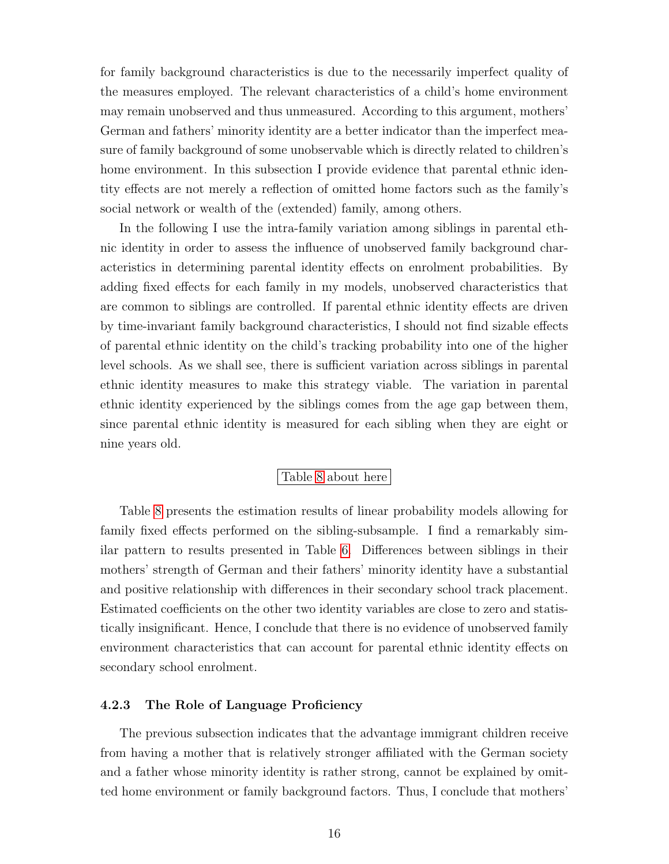for family background characteristics is due to the necessarily imperfect quality of the measures employed. The relevant characteristics of a child's home environment may remain unobserved and thus unmeasured. According to this argument, mothers' German and fathers' minority identity are a better indicator than the imperfect measure of family background of some unobservable which is directly related to children's home environment. In this subsection I provide evidence that parental ethnic identity effects are not merely a reflection of omitted home factors such as the family's social network or wealth of the (extended) family, among others.

In the following I use the intra-family variation among siblings in parental ethnic identity in order to assess the influence of unobserved family background characteristics in determining parental identity effects on enrolment probabilities. By adding fixed effects for each family in my models, unobserved characteristics that are common to siblings are controlled. If parental ethnic identity effects are driven by time-invariant family background characteristics, I should not find sizable effects of parental ethnic identity on the child's tracking probability into one of the higher level schools. As we shall see, there is sufficient variation across siblings in parental ethnic identity measures to make this strategy viable. The variation in parental ethnic identity experienced by the siblings comes from the age gap between them, since parental ethnic identity is measured for each sibling when they are eight or nine years old.

#### Table [8](#page-27-1) about here

Table [8](#page-27-1) presents the estimation results of linear probability models allowing for family fixed effects performed on the sibling-subsample. I find a remarkably similar pattern to results presented in Table [6.](#page-26-0) Differences between siblings in their mothers' strength of German and their fathers' minority identity have a substantial and positive relationship with differences in their secondary school track placement. Estimated coefficients on the other two identity variables are close to zero and statistically insignificant. Hence, I conclude that there is no evidence of unobserved family environment characteristics that can account for parental ethnic identity effects on secondary school enrolment.

#### 4.2.3 The Role of Language Proficiency

The previous subsection indicates that the advantage immigrant children receive from having a mother that is relatively stronger affiliated with the German society and a father whose minority identity is rather strong, cannot be explained by omitted home environment or family background factors. Thus, I conclude that mothers'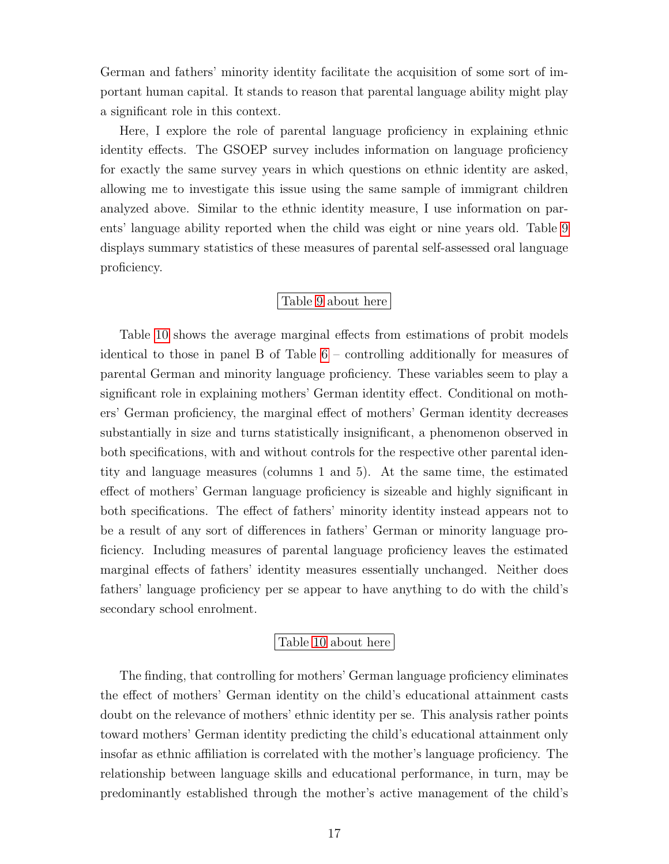German and fathers' minority identity facilitate the acquisition of some sort of important human capital. It stands to reason that parental language ability might play a significant role in this context.

Here, I explore the role of parental language proficiency in explaining ethnic identity effects. The GSOEP survey includes information on language proficiency for exactly the same survey years in which questions on ethnic identity are asked, allowing me to investigate this issue using the same sample of immigrant children analyzed above. Similar to the ethnic identity measure, I use information on parents' language ability reported when the child was eight or nine years old. Table [9](#page-28-0) displays summary statistics of these measures of parental self-assessed oral language proficiency.

### Table [9](#page-28-0) about here

Table [10](#page-28-1) shows the average marginal effects from estimations of probit models identical to those in panel B of Table [6](#page-26-0) – controlling additionally for measures of parental German and minority language proficiency. These variables seem to play a significant role in explaining mothers' German identity effect. Conditional on mothers' German proficiency, the marginal effect of mothers' German identity decreases substantially in size and turns statistically insignificant, a phenomenon observed in both specifications, with and without controls for the respective other parental identity and language measures (columns 1 and 5). At the same time, the estimated effect of mothers' German language proficiency is sizeable and highly significant in both specifications. The effect of fathers' minority identity instead appears not to be a result of any sort of differences in fathers' German or minority language proficiency. Including measures of parental language proficiency leaves the estimated marginal effects of fathers' identity measures essentially unchanged. Neither does fathers' language proficiency per se appear to have anything to do with the child's secondary school enrolment.

### Table [10](#page-28-1) about here

The finding, that controlling for mothers' German language proficiency eliminates the effect of mothers' German identity on the child's educational attainment casts doubt on the relevance of mothers' ethnic identity per se. This analysis rather points toward mothers' German identity predicting the child's educational attainment only insofar as ethnic affiliation is correlated with the mother's language proficiency. The relationship between language skills and educational performance, in turn, may be predominantly established through the mother's active management of the child's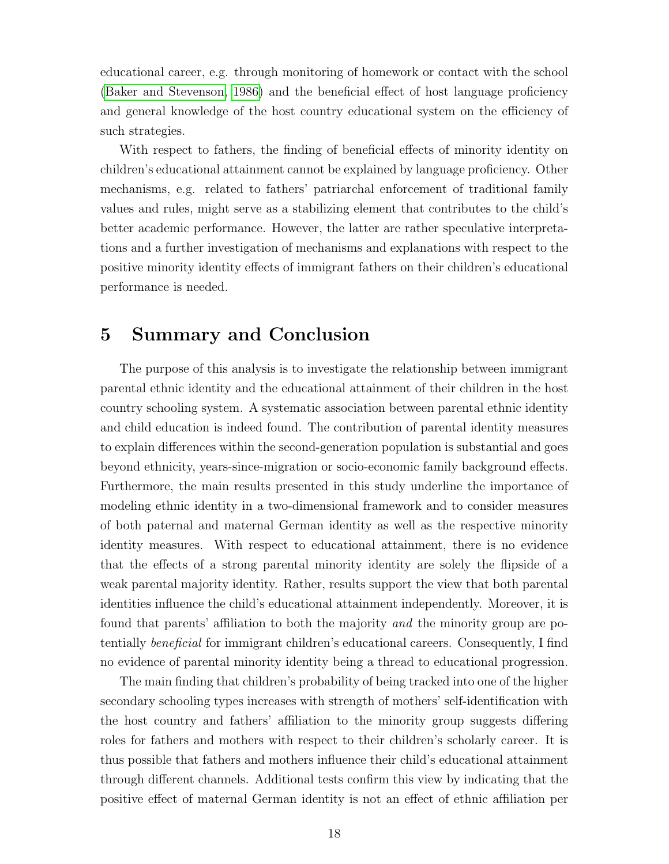educational career, e.g. through monitoring of homework or contact with the school [\(Baker and Stevenson, 1986\)](#page-19-12) and the beneficial effect of host language proficiency and general knowledge of the host country educational system on the efficiency of such strategies.

With respect to fathers, the finding of beneficial effects of minority identity on children's educational attainment cannot be explained by language proficiency. Other mechanisms, e.g. related to fathers' patriarchal enforcement of traditional family values and rules, might serve as a stabilizing element that contributes to the child's better academic performance. However, the latter are rather speculative interpretations and a further investigation of mechanisms and explanations with respect to the positive minority identity effects of immigrant fathers on their children's educational performance is needed.

## <span id="page-17-0"></span>5 Summary and Conclusion

The purpose of this analysis is to investigate the relationship between immigrant parental ethnic identity and the educational attainment of their children in the host country schooling system. A systematic association between parental ethnic identity and child education is indeed found. The contribution of parental identity measures to explain differences within the second-generation population is substantial and goes beyond ethnicity, years-since-migration or socio-economic family background effects. Furthermore, the main results presented in this study underline the importance of modeling ethnic identity in a two-dimensional framework and to consider measures of both paternal and maternal German identity as well as the respective minority identity measures. With respect to educational attainment, there is no evidence that the effects of a strong parental minority identity are solely the flipside of a weak parental majority identity. Rather, results support the view that both parental identities influence the child's educational attainment independently. Moreover, it is found that parents' affiliation to both the majority and the minority group are potentially beneficial for immigrant children's educational careers. Consequently, I find no evidence of parental minority identity being a thread to educational progression.

The main finding that children's probability of being tracked into one of the higher secondary schooling types increases with strength of mothers' self-identification with the host country and fathers' affiliation to the minority group suggests differing roles for fathers and mothers with respect to their children's scholarly career. It is thus possible that fathers and mothers influence their child's educational attainment through different channels. Additional tests confirm this view by indicating that the positive effect of maternal German identity is not an effect of ethnic affiliation per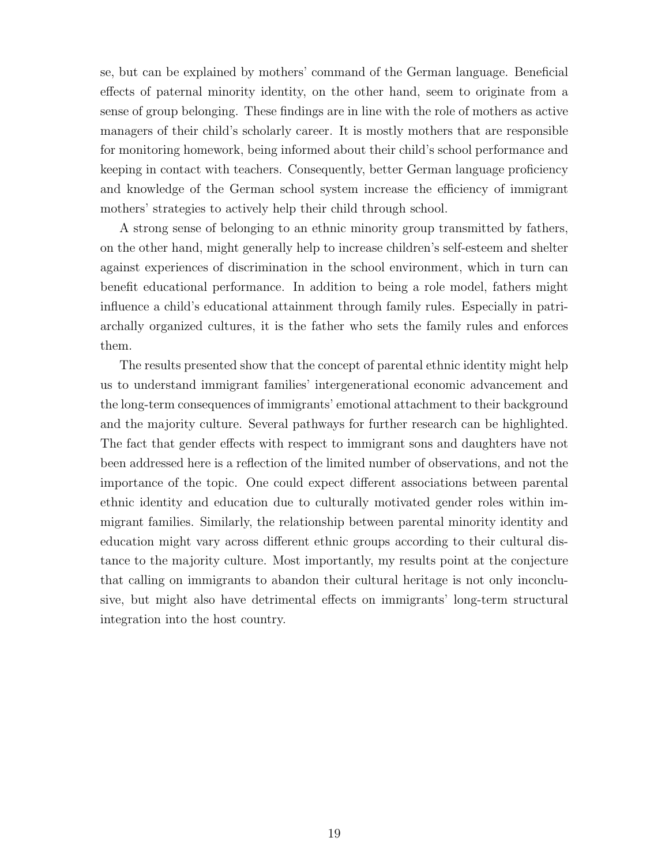se, but can be explained by mothers' command of the German language. Beneficial effects of paternal minority identity, on the other hand, seem to originate from a sense of group belonging. These findings are in line with the role of mothers as active managers of their child's scholarly career. It is mostly mothers that are responsible for monitoring homework, being informed about their child's school performance and keeping in contact with teachers. Consequently, better German language proficiency and knowledge of the German school system increase the efficiency of immigrant mothers' strategies to actively help their child through school.

A strong sense of belonging to an ethnic minority group transmitted by fathers, on the other hand, might generally help to increase children's self-esteem and shelter against experiences of discrimination in the school environment, which in turn can benefit educational performance. In addition to being a role model, fathers might influence a child's educational attainment through family rules. Especially in patriarchally organized cultures, it is the father who sets the family rules and enforces them.

The results presented show that the concept of parental ethnic identity might help us to understand immigrant families' intergenerational economic advancement and the long-term consequences of immigrants' emotional attachment to their background and the majority culture. Several pathways for further research can be highlighted. The fact that gender effects with respect to immigrant sons and daughters have not been addressed here is a reflection of the limited number of observations, and not the importance of the topic. One could expect different associations between parental ethnic identity and education due to culturally motivated gender roles within immigrant families. Similarly, the relationship between parental minority identity and education might vary across different ethnic groups according to their cultural distance to the majority culture. Most importantly, my results point at the conjecture that calling on immigrants to abandon their cultural heritage is not only inconclusive, but might also have detrimental effects on immigrants' long-term structural integration into the host country.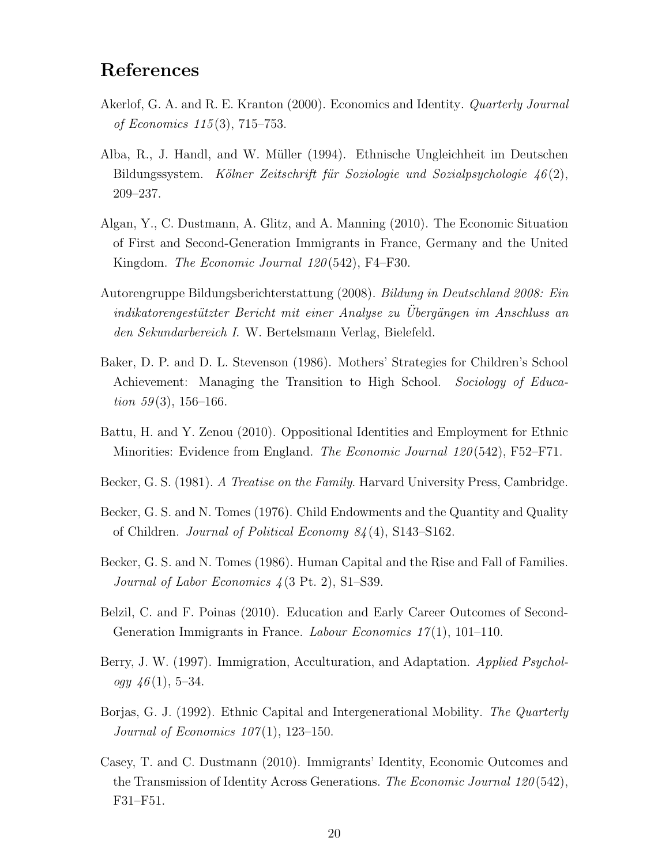## References

- <span id="page-19-0"></span>Akerlof, G. A. and R. E. Kranton (2000). Economics and Identity. Quarterly Journal of Economics 115 (3), 715–753.
- <span id="page-19-11"></span>Alba, R., J. Handl, and W. M¨uller (1994). Ethnische Ungleichheit im Deutschen Bildungssystem. Kölner Zeitschrift für Soziologie und Sozialpsychologie  $46(2)$ , 209–237.
- <span id="page-19-3"></span>Algan, Y., C. Dustmann, A. Glitz, and A. Manning (2010). The Economic Situation of First and Second-Generation Immigrants in France, Germany and the United Kingdom. The Economic Journal 120(542), F4–F30.
- <span id="page-19-10"></span>Autorengruppe Bildungsberichterstattung (2008). Bildung in Deutschland 2008: Ein  $indikato rengestützter Bericht mit einer Analyse zu Übergängen im Anschluss an$ den Sekundarbereich I. W. Bertelsmann Verlag, Bielefeld.
- <span id="page-19-12"></span>Baker, D. P. and D. L. Stevenson (1986). Mothers' Strategies for Children's School Achievement: Managing the Transition to High School. Sociology of Education  $59(3)$ , 156-166.
- <span id="page-19-1"></span>Battu, H. and Y. Zenou (2010). Oppositional Identities and Employment for Ethnic Minorities: Evidence from England. The Economic Journal  $120(542)$ , F52–F71.
- <span id="page-19-5"></span>Becker, G. S. (1981). A Treatise on the Family. Harvard University Press, Cambridge.
- <span id="page-19-4"></span>Becker, G. S. and N. Tomes (1976). Child Endowments and the Quantity and Quality of Children. Journal of Political Economy 84 (4), S143–S162.
- <span id="page-19-6"></span>Becker, G. S. and N. Tomes (1986). Human Capital and the Rise and Fall of Families. Journal of Labor Economics 4 (3 Pt. 2), S1–S39.
- <span id="page-19-9"></span>Belzil, C. and F. Poinas (2010). Education and Early Career Outcomes of Second-Generation Immigrants in France. Labour Economics  $17(1)$ , 101–110.
- <span id="page-19-7"></span>Berry, J. W. (1997). Immigration, Acculturation, and Adaptation. Applied Psychology  $46(1)$ , 5–34.
- <span id="page-19-8"></span>Borjas, G. J. (1992). Ethnic Capital and Intergenerational Mobility. The Quarterly Journal of Economics  $107(1)$ , 123-150.
- <span id="page-19-2"></span>Casey, T. and C. Dustmann (2010). Immigrants' Identity, Economic Outcomes and the Transmission of Identity Across Generations. The Economic Journal  $120(542)$ , F31–F51.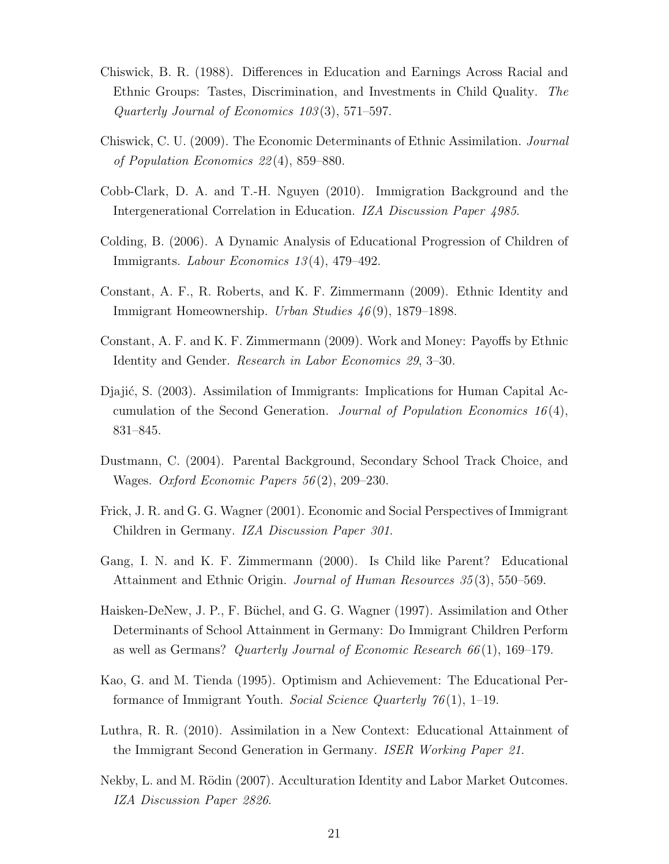- <span id="page-20-11"></span>Chiswick, B. R. (1988). Differences in Education and Earnings Across Racial and Ethnic Groups: Tastes, Discrimination, and Investments in Child Quality. The Quarterly Journal of Economics 103 (3), 571–597.
- <span id="page-20-4"></span>Chiswick, C. U. (2009). The Economic Determinants of Ethnic Assimilation. Journal of Population Economics 22 (4), 859–880.
- <span id="page-20-7"></span>Cobb-Clark, D. A. and T.-H. Nguyen (2010). Immigration Background and the Intergenerational Correlation in Education. IZA Discussion Paper 4985.
- <span id="page-20-6"></span>Colding, B. (2006). A Dynamic Analysis of Educational Progression of Children of Immigrants. Labour Economics 13 (4), 479–492.
- <span id="page-20-2"></span>Constant, A. F., R. Roberts, and K. F. Zimmermann (2009). Ethnic Identity and Immigrant Homeownership. Urban Studies 46 (9), 1879–1898.
- <span id="page-20-0"></span>Constant, A. F. and K. F. Zimmermann (2009). Work and Money: Payoffs by Ethnic Identity and Gender. Research in Labor Economics 29, 3–30.
- <span id="page-20-5"></span>Diajić, S. (2003). Assimilation of Immigrants: Implications for Human Capital Accumulation of the Second Generation. Journal of Population Economics  $16(4)$ , 831–845.
- <span id="page-20-12"></span>Dustmann, C. (2004). Parental Background, Secondary School Track Choice, and Wages. Oxford Economic Papers 56 (2), 209–230.
- <span id="page-20-13"></span>Frick, J. R. and G. G. Wagner (2001). Economic and Social Perspectives of Immigrant Children in Germany. IZA Discussion Paper 301.
- <span id="page-20-9"></span>Gang, I. N. and K. F. Zimmermann (2000). Is Child like Parent? Educational Attainment and Ethnic Origin. Journal of Human Resources 35 (3), 550–569.
- <span id="page-20-8"></span>Haisken-DeNew, J. P., F. Büchel, and G. G. Wagner (1997). Assimilation and Other Determinants of School Attainment in Germany: Do Immigrant Children Perform as well as Germans? Quarterly Journal of Economic Research  $66(1)$ , 169–179.
- <span id="page-20-3"></span>Kao, G. and M. Tienda (1995). Optimism and Achievement: The Educational Performance of Immigrant Youth. Social Science Quarterly  $\mathcal{U}(1)$ , 1–19.
- <span id="page-20-10"></span>Luthra, R. R. (2010). Assimilation in a New Context: Educational Attainment of the Immigrant Second Generation in Germany. ISER Working Paper 21.
- <span id="page-20-1"></span>Nekby, L. and M. Rödin (2007). Acculturation Identity and Labor Market Outcomes. IZA Discussion Paper 2826.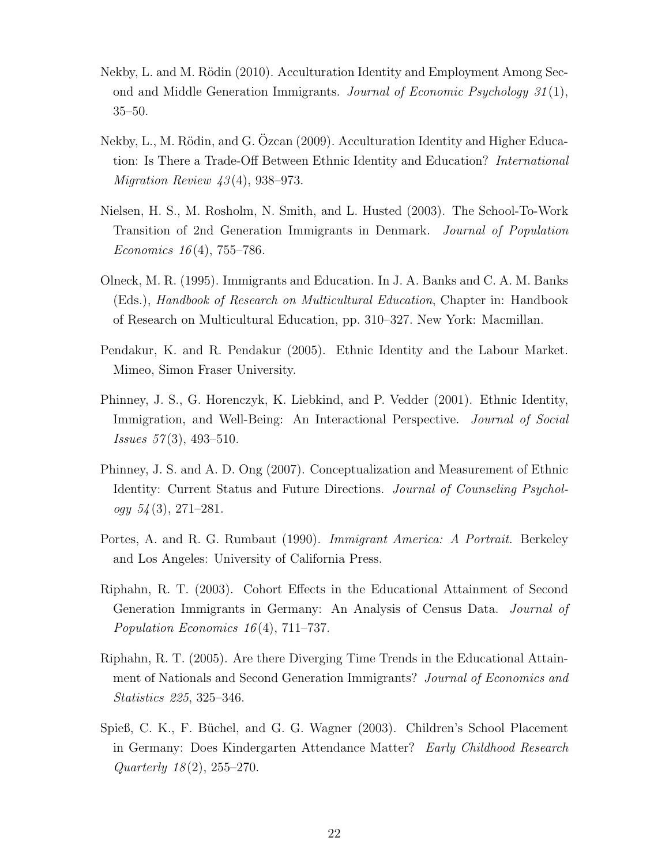- <span id="page-21-1"></span>Nekby, L. and M. Rödin (2010). Acculturation Identity and Employment Among Second and Middle Generation Immigrants. Journal of Economic Psychology  $31(1)$ , 35–50.
- <span id="page-21-2"></span>Nekby, L., M. Rödin, and G. Özcan (2009). Acculturation Identity and Higher Education: Is There a Trade-Off Between Ethnic Identity and Education? International Migration Review  $43(4)$ , 938–973.
- <span id="page-21-8"></span>Nielsen, H. S., M. Rosholm, N. Smith, and L. Husted (2003). The School-To-Work Transition of 2nd Generation Immigrants in Denmark. Journal of Population Economics  $16(4)$ , 755–786.
- <span id="page-21-5"></span>Olneck, M. R. (1995). Immigrants and Education. In J. A. Banks and C. A. M. Banks (Eds.), Handbook of Research on Multicultural Education, Chapter in: Handbook of Research on Multicultural Education, pp. 310–327. New York: Macmillan.
- <span id="page-21-0"></span>Pendakur, K. and R. Pendakur (2005). Ethnic Identity and the Labour Market. Mimeo, Simon Fraser University.
- <span id="page-21-6"></span>Phinney, J. S., G. Horenczyk, K. Liebkind, and P. Vedder (2001). Ethnic Identity, Immigration, and Well-Being: An Interactional Perspective. *Journal of Social*  $Issues 57(3), 493-510.$
- <span id="page-21-3"></span>Phinney, J. S. and A. D. Ong (2007). Conceptualization and Measurement of Ethnic Identity: Current Status and Future Directions. Journal of Counseling Psychology  $54(3)$ , 271–281.
- <span id="page-21-4"></span>Portes, A. and R. G. Rumbaut (1990). *Immigrant America: A Portrait.* Berkeley and Los Angeles: University of California Press.
- <span id="page-21-9"></span>Riphahn, R. T. (2003). Cohort Effects in the Educational Attainment of Second Generation Immigrants in Germany: An Analysis of Census Data. *Journal of* Population Economics  $16(4)$ , 711–737.
- <span id="page-21-7"></span>Riphahn, R. T. (2005). Are there Diverging Time Trends in the Educational Attainment of Nationals and Second Generation Immigrants? Journal of Economics and Statistics 225, 325–346.
- <span id="page-21-10"></span>Spieß, C. K., F. B¨uchel, and G. G. Wagner (2003). Children's School Placement in Germany: Does Kindergarten Attendance Matter? Early Childhood Research Quarterly  $18(2)$ ,  $255-270$ .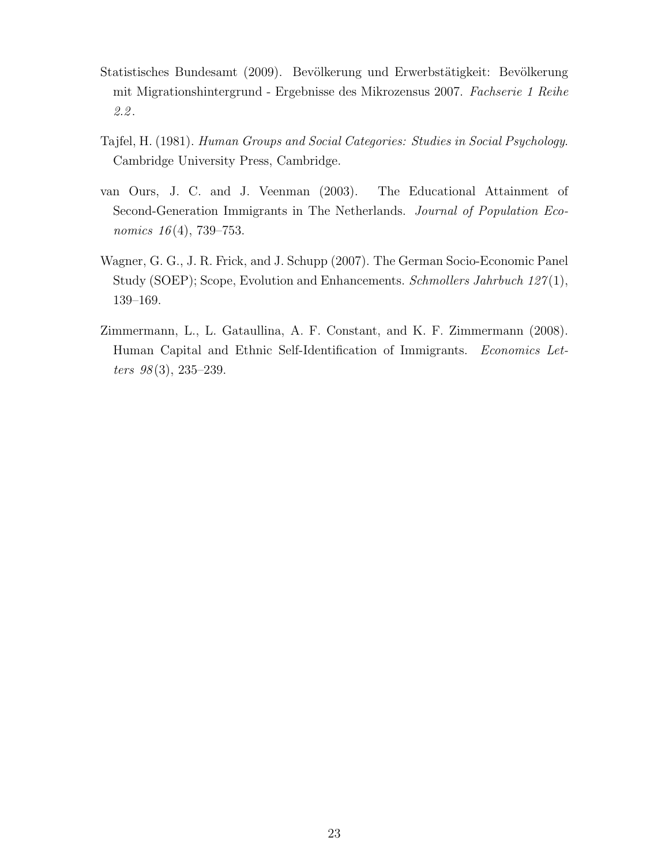- <span id="page-22-2"></span>Statistisches Bundesamt (2009). Bevölkerung und Erwerbstätigkeit: Bevölkerung mit Migrationshintergrund - Ergebnisse des Mikrozensus 2007. Fachserie 1 Reihe 2.
- <span id="page-22-1"></span>Tajfel, H. (1981). Human Groups and Social Categories: Studies in Social Psychology. Cambridge University Press, Cambridge.
- <span id="page-22-3"></span>van Ours, J. C. and J. Veenman (2003). The Educational Attainment of Second-Generation Immigrants in The Netherlands. Journal of Population Economics  $16(4)$ , 739–753.
- <span id="page-22-4"></span>Wagner, G. G., J. R. Frick, and J. Schupp (2007). The German Socio-Economic Panel Study (SOEP); Scope, Evolution and Enhancements. Schmollers Jahrbuch 127(1), 139–169.
- <span id="page-22-0"></span>Zimmermann, L., L. Gataullina, A. F. Constant, and K. F. Zimmermann (2008). Human Capital and Ethnic Self-Identification of Immigrants. Economics Letters  $98(3)$ , 235–239.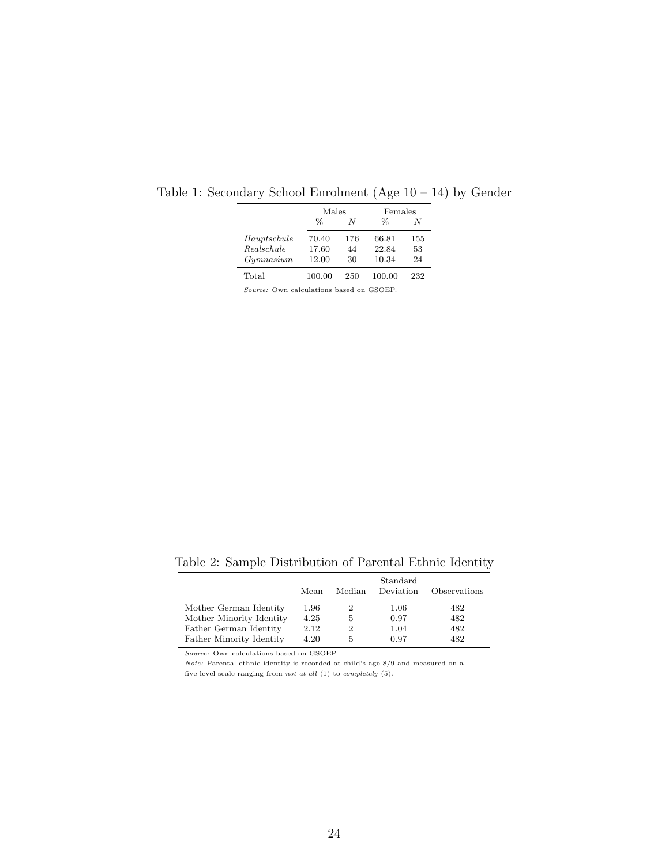<span id="page-23-0"></span>

|                | Males  |     | Females |     |  |
|----------------|--------|-----|---------|-----|--|
|                | $\%$   | N   | %       | N   |  |
| Hauptschule    | 70.40  | 176 | 66.81   | 155 |  |
| Realschule     | 17.60  | 44  | 22.84   | 53  |  |
| Gymnasium      | 12.00  | 30  | 10.34   | 24  |  |
| $_{\rm Total}$ | 100.00 | 250 | 100.00  | 232 |  |
|                |        |     |         |     |  |

Table 1: Secondary School Enrolment (Age  $10 - 14$ ) by Gender

Source: Own calculations based on GSOEP.

Table 2: Sample Distribution of Parental Ethnic Identity

<span id="page-23-1"></span>

|                          | Mean | Median | Standard<br>Deviation | Observations |
|--------------------------|------|--------|-----------------------|--------------|
| Mother German Identity   | 1.96 | 2      | 1.06                  | 482          |
| Mother Minority Identity | 4.25 | 5      | 0.97                  | 482          |
| Father German Identity   | 2.12 | 2      | 1.04                  | 482          |
| Father Minority Identity | 4.20 | Ð      | 0.97                  | 482          |

Note: Parental ethnic identity is recorded at child's age 8/9 and measured on a five-level scale ranging from not at all (1) to completely (5).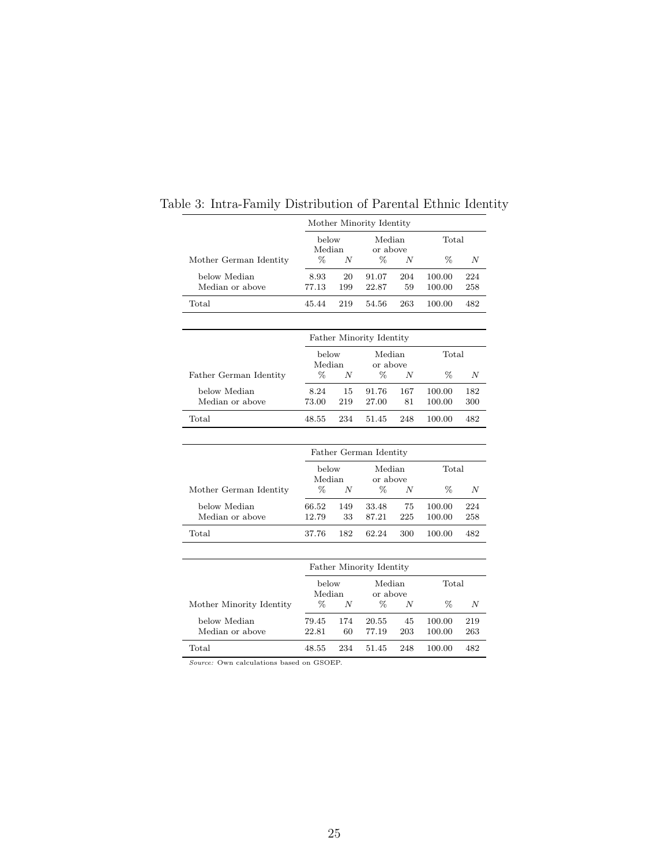<span id="page-24-0"></span>

| Mother Minority Identity |        |                                       |                          |        |        |       |  |  |
|--------------------------|--------|---------------------------------------|--------------------------|--------|--------|-------|--|--|
|                          |        | Median<br>below<br>Median<br>or above |                          |        | Total  |       |  |  |
| Mother German Identity   | $\%$   | N                                     | $\%$                     | N      | %      | N     |  |  |
| below Median             | 8.93   | 20                                    | 91.07                    | 204    | 100.00 | 224   |  |  |
| Median or above          | 77.13  | 199                                   | 22.87                    | 59     | 100.00 | 258   |  |  |
| Total                    | 45.44  | 219                                   | 54.56                    | 263    | 100.00 | 482   |  |  |
|                          |        |                                       |                          |        |        |       |  |  |
|                          |        |                                       | Father Minority Identity |        |        |       |  |  |
|                          | below  |                                       |                          | Median |        | Total |  |  |
|                          | Median |                                       | or above                 |        |        |       |  |  |
| Father German Identity   | $\%$   | N                                     | $\%$                     | N      | %      | N     |  |  |
| below Median             | 8.24   | 15                                    | 91.76                    | 167    | 100.00 | 182   |  |  |
| Median or above          | 73.00  | 219                                   | 27.00                    | 81     | 100.00 | 300   |  |  |
| Total                    | 48.55  | 234                                   | 51.45                    | 248    | 100.00 | 482   |  |  |
|                          |        |                                       |                          |        |        |       |  |  |
|                          |        |                                       |                          |        |        |       |  |  |

| Table 3: Intra-Family Distribution of Parental Ethnic Identity |  |  |
|----------------------------------------------------------------|--|--|
|                                                                |  |  |

|                                 | Father German Identity |           |                    |           |                  |            |
|---------------------------------|------------------------|-----------|--------------------|-----------|------------------|------------|
|                                 | below<br>Median        |           | Median<br>or above |           | Total            |            |
| Mother German Identity          | ℅                      | N         | ℅                  | N         | ℅                | N          |
| below Median<br>Median or above | 66.52<br>12.79         | 149<br>33 | 33.48<br>87.21     | 75<br>225 | 100.00<br>100.00 | 224<br>258 |
| Total                           | 37.76                  | 182       | 62.24              | 300       | 100.00           | 482        |

|                                 |                 | Father Minority Identity |                    |           |                  |            |  |  |
|---------------------------------|-----------------|--------------------------|--------------------|-----------|------------------|------------|--|--|
|                                 | below<br>Median |                          | Median<br>or above |           | Total            |            |  |  |
| Mother Minority Identity        | %               | N                        | $\%$               | N         | %                | N          |  |  |
| below Median<br>Median or above | 79.45<br>22.81  | 174<br>60                | 20.55<br>77.19     | 45<br>203 | 100.00<br>100.00 | 219<br>263 |  |  |
| Total                           | 48.55           | 234                      | 51.45              | 248       | 100.00           | 482        |  |  |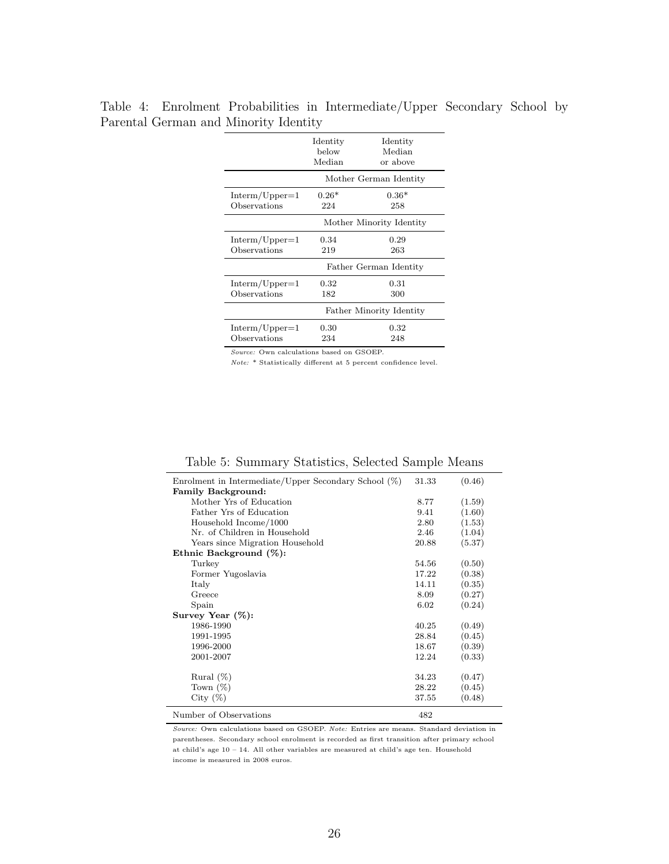|                                  | Identity<br>below<br>Median     | Identity<br>Median<br>or above |  |  |  |
|----------------------------------|---------------------------------|--------------------------------|--|--|--|
|                                  |                                 | Mother German Identity         |  |  |  |
| $Interm/Upper=1$<br>Observations | $0.26*$<br>224                  | $0.36*$<br>258                 |  |  |  |
|                                  | Mother Minority Identity        |                                |  |  |  |
| $Interm/Upper=1$<br>Observations | 0.34<br>219                     | 0.29<br>263                    |  |  |  |
|                                  |                                 | Father German Identity         |  |  |  |
| $Interm/Upper=1$<br>Observations | 0.32<br>182                     | 0.31<br>300                    |  |  |  |
|                                  | <b>Father Minority Identity</b> |                                |  |  |  |
| $Interm/Upper=1$<br>Observations | 0.30<br>234                     | 0.32<br>248                    |  |  |  |

<span id="page-25-0"></span>Table 4: Enrolment Probabilities in Intermediate/Upper Secondary School by Parental German and Minority Identity

Note: \* Statistically different at 5 percent confidence level.

<span id="page-25-1"></span>

|  | Table 5: Summary Statistics, Selected Sample Means |  |  |
|--|----------------------------------------------------|--|--|
|  |                                                    |  |  |

| Enrolment in Intermediate/Upper Secondary School $(\%)$ | 31.33 | (0.46) |
|---------------------------------------------------------|-------|--------|
| <b>Family Background:</b>                               |       |        |
| Mother Yrs of Education                                 | 8.77  | (1.59) |
| Father Yrs of Education                                 | 9.41  | (1.60) |
| Household Income/1000                                   | 2.80  | (1.53) |
| Nr. of Children in Household                            | 2.46  | (1.04) |
| Years since Migration Household                         | 20.88 | (5.37) |
| Ethnic Background $(\%)$ :                              |       |        |
| Turkey                                                  | 54.56 | (0.50) |
| Former Yugoslavia                                       | 17.22 | (0.38) |
| Italy                                                   | 14.11 | (0.35) |
| Greece                                                  | 8.09  | (0.27) |
| Spain                                                   | 6.02  | (0.24) |
| Survey Year $(\%)$ :                                    |       |        |
| 1986-1990                                               | 40.25 | (0.49) |
| 1991-1995                                               | 28.84 | (0.45) |
| 1996-2000                                               | 18.67 | (0.39) |
| 2001-2007                                               | 12.24 | (0.33) |
|                                                         |       |        |
| Rural $(\%)$                                            | 34.23 | (0.47) |
| Town $(\%)$                                             | 28.22 | (0.45) |
| City $(\%)$                                             | 37.55 | (0.48) |
| Number of Observations                                  | 482   |        |

Source: Own calculations based on GSOEP. Note: Entries are means. Standard deviation in parentheses. Secondary school enrolment is recorded as first transition after primary school at child's age 10 – 14. All other variables are measured at child's age ten. Household income is measured in 2008 euros.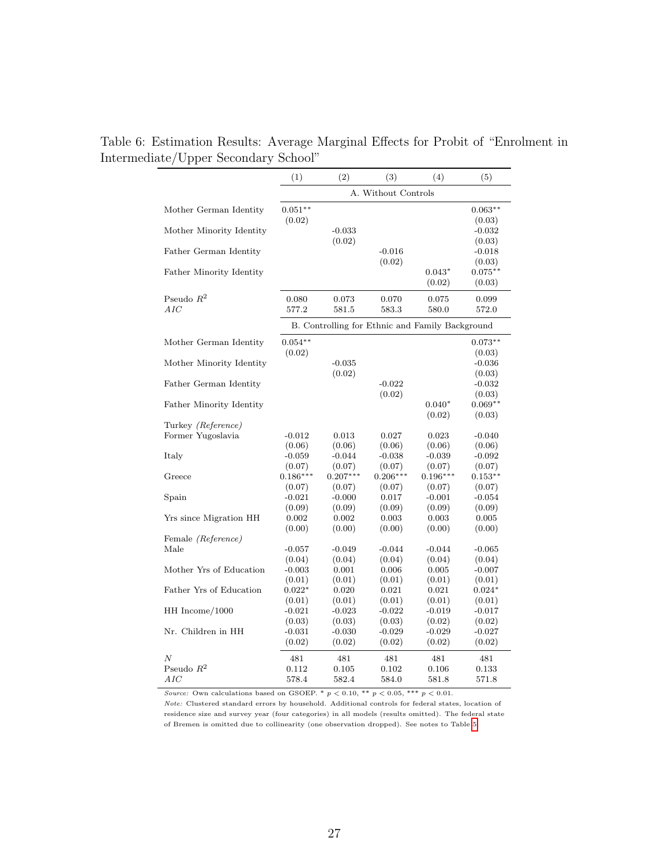<span id="page-26-0"></span>

|                           | (1)                | (2)                 | (3)                | (4)                                             | (5)                 |  |  |
|---------------------------|--------------------|---------------------|--------------------|-------------------------------------------------|---------------------|--|--|
|                           |                    | A. Without Controls |                    |                                                 |                     |  |  |
| Mother German Identity    | $0.051**$          |                     |                    |                                                 | $0.063**$           |  |  |
|                           | (0.02)             |                     |                    |                                                 | (0.03)              |  |  |
| Mother Minority Identity  |                    | $-0.033$            |                    |                                                 | $-0.032$            |  |  |
|                           |                    | (0.02)              |                    |                                                 | (0.03)              |  |  |
| Father German Identity    |                    |                     | $-0.016$           |                                                 | $-0.018$            |  |  |
| Father Minority Identity  |                    |                     | (0.02)             | $0.043*$                                        | (0.03)<br>$0.075**$ |  |  |
|                           |                    |                     |                    | (0.02)                                          | (0.03)              |  |  |
| Pseudo $R^2$              | 0.080              | 0.073               | 0.070              | 0.075                                           | 0.099               |  |  |
| AIC                       | 577.2              | 581.5               | 583.3              | 580.0                                           | 572.0               |  |  |
|                           |                    |                     |                    |                                                 |                     |  |  |
|                           |                    |                     |                    | B. Controlling for Ethnic and Family Background |                     |  |  |
| Mother German Identity    | $0.054**$          |                     |                    |                                                 | $0.073**$           |  |  |
|                           | (0.02)             |                     |                    |                                                 | (0.03)              |  |  |
| Mother Minority Identity  |                    | $-0.035$            |                    |                                                 | $-0.036$            |  |  |
|                           |                    | (0.02)              |                    |                                                 | (0.03)              |  |  |
| Father German Identity    |                    |                     | $-0.022$           |                                                 | $-0.032$            |  |  |
|                           |                    |                     | (0.02)             |                                                 | (0.03)              |  |  |
| Father Minority Identity  |                    |                     |                    | $0.040*$                                        | $0.069**$           |  |  |
| Turkey (Reference)        |                    |                     |                    | (0.02)                                          | (0.03)              |  |  |
| Former Yugoslavia         | $-0.012$           | 0.013               | 0.027              | 0.023                                           | $-0.040$            |  |  |
|                           | (0.06)             | (0.06)              | (0.06)             | (0.06)                                          | (0.06)              |  |  |
| Italy                     | $-0.059$           | $-0.044$            | $-0.038$           | $-0.039$                                        | $-0.092$            |  |  |
|                           | (0.07)             | (0.07)              | (0.07)             | (0.07)                                          | (0.07)              |  |  |
| Greece                    | $0.186***$         | $0.207***$          | $0.206***$         | $0.196***$                                      | $0.153**$           |  |  |
|                           | (0.07)             | (0.07)              | (0.07)             | (0.07)                                          | (0.07)              |  |  |
| Spain                     | $-0.021$           | $-0.000$            | 0.017              | $-0.001$                                        | $-0.054$            |  |  |
|                           | (0.09)             | (0.09)              | (0.09)             | (0.09)                                          | (0.09)              |  |  |
| Yrs since Migration HH    | 0.002              | 0.002               | 0.003              | 0.003                                           | $0.005\,$           |  |  |
|                           | (0.00)             | (0.00)              | (0.00)             | (0.00)                                          | (0.00)              |  |  |
| Female <i>(Reference)</i> |                    |                     |                    |                                                 |                     |  |  |
| Male                      | $-0.057$           | $-0.049$            | $-0.044$           | $-0.044$                                        | $-0.065$            |  |  |
|                           | (0.04)             | (0.04)              | (0.04)             | (0.04)                                          | (0.04)              |  |  |
| Mother Yrs of Education   | $-0.003$           | 0.001               | 0.006              | 0.005                                           | $-0.007$            |  |  |
|                           | (0.01)             | (0.01)              | (0.01)             | (0.01)                                          | (0.01)              |  |  |
| Father Yrs of Education   | $0.022*$           | 0.020               | 0.021              | 0.021                                           | $0.024*$            |  |  |
|                           | (0.01)             | (0.01)              | (0.01)             | (0.01)                                          | (0.01)              |  |  |
| HH Income/1000            | $-0.021$           | $-0.023$            | $-0.022$           | $-0.019$                                        | $-0.017$            |  |  |
|                           | (0.03)             | (0.03)              | (0.03)             | (0.02)                                          | (0.02)              |  |  |
| Nr. Children in HH        | $-0.031$<br>(0.02) | $-0.030$<br>(0.02)  | $-0.029$<br>(0.02) | $-0.029$                                        | $-0.027$            |  |  |
|                           |                    |                     |                    | (0.02)                                          | (0.02)              |  |  |
| $\overline{N}$            | 481                | 481                 | 481                | 481                                             | 481                 |  |  |
| Pseudo $R^2$              | 0.112              | 0.105               | 0.102              | 0.106                                           | 0.133               |  |  |
| AIC                       | 578.4              | 582.4               | 584.0              | 581.8                                           | 571.8               |  |  |

Table 6: Estimation Results: Average Marginal Effects for Probit of "Enrolment in Intermediate/Upper Secondary School"

Source: Own calculations based on GSOEP. \*  $p < 0.10$ , \*\*  $p < 0.05$ , \*\*\*  $p < 0.01$ .

Note: Clustered standard errors by household. Additional controls for federal states, location of residence size and survey year (four categories) in all models (results omitted). The federal state of Bremen is omitted due to collinearity (one observation dropped). See notes to Table [5.](#page-25-1)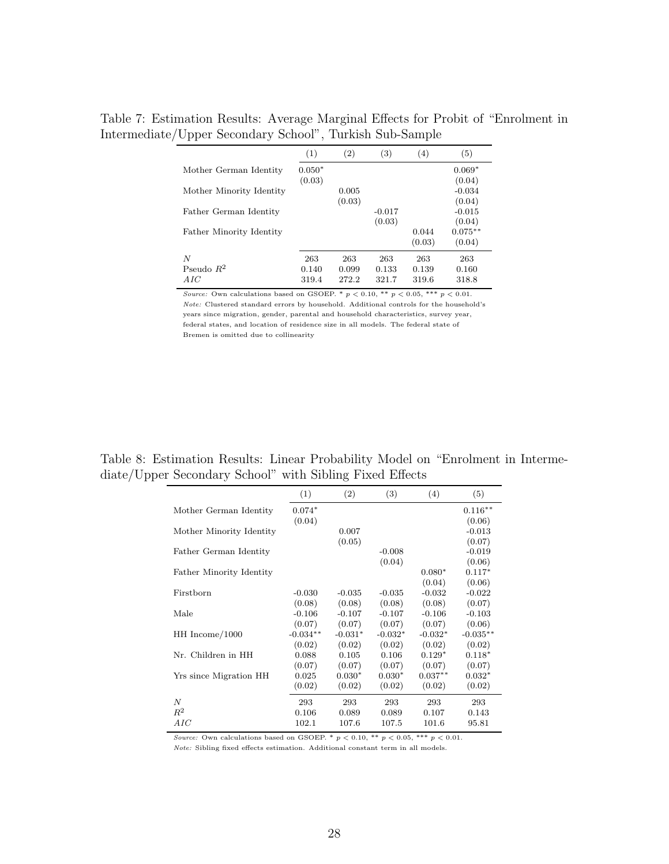Table 7: Estimation Results: Average Marginal Effects for Probit of "Enrolment in Intermediate/Upper Secondary School", Turkish Sub-Sample

<span id="page-27-0"></span>

|                          | (1)                   | $\left( 2\right)$     | (3)                   | (4)                   | (5)                   |
|--------------------------|-----------------------|-----------------------|-----------------------|-----------------------|-----------------------|
| Mother German Identity   | $0.050*$<br>(0.03)    |                       |                       |                       | $0.069*$<br>(0.04)    |
| Mother Minority Identity |                       | 0.005<br>(0.03)       |                       |                       | $-0.034$<br>(0.04)    |
| Father German Identity   |                       |                       | $-0.017$<br>(0.03)    |                       | $-0.015$<br>(0.04)    |
| Father Minority Identity |                       |                       |                       | 0.044<br>(0.03)       | $0.075**$<br>(0.04)   |
| N<br>Pseudo $R^2$<br>AIC | 263<br>0.140<br>319.4 | 263<br>0.099<br>272.2 | 263<br>0.133<br>321.7 | 263<br>0.139<br>319.6 | 263<br>0.160<br>318.8 |

Source: Own calculations based on GSOEP. \*  $p < 0.10$ , \*\*  $p < 0.05$ , \*\*\*  $p < 0.01$ .  $\emph{Note:}$  Clustered standard errors by household. Additional controls for the household's years since migration, gender, parental and household characteristics, survey year, federal states, and location of residence size in all models. The federal state of Bremen is omitted due to collinearity

Table 8: Estimation Results: Linear Probability Model on "Enrolment in Intermediate/Upper Secondary School" with Sibling Fixed Effects

<span id="page-27-1"></span>

|                          | (1)        | (2)       | (3)       | (4)       | (5)        |
|--------------------------|------------|-----------|-----------|-----------|------------|
| Mother German Identity   | $0.074*$   |           |           |           | $0.116**$  |
|                          | (0.04)     |           |           |           | (0.06)     |
| Mother Minority Identity |            | 0.007     |           |           | $-0.013$   |
|                          |            | (0.05)    |           |           | (0.07)     |
| Father German Identity   |            |           | $-0.008$  |           | $-0.019$   |
|                          |            |           | (0.04)    |           | (0.06)     |
| Father Minority Identity |            |           |           | $0.080*$  | $0.117*$   |
|                          |            |           |           | (0.04)    | (0.06)     |
| Firstborn                | $-0.030$   | $-0.035$  | $-0.035$  | $-0.032$  | $-0.022$   |
|                          | (0.08)     | (0.08)    | (0.08)    | (0.08)    | (0.07)     |
| Male                     | $-0.106$   | $-0.107$  | $-0.107$  | $-0.106$  | $-0.103$   |
|                          | (0.07)     | (0.07)    | (0.07)    | (0.07)    | (0.06)     |
| HH Income/1000           | $-0.034**$ | $-0.031*$ | $-0.032*$ | $-0.032*$ | $-0.035**$ |
|                          | (0.02)     | (0.02)    | (0.02)    | (0.02)    | (0.02)     |
| Nr. Children in HH       | 0.088      | 0.105     | 0.106     | $0.129*$  | $0.118*$   |
|                          | (0.07)     | (0.07)    | (0.07)    | (0.07)    | (0.07)     |
| Yrs since Migration HH   | 0.025      | $0.030*$  | $0.030*$  | $0.037**$ | $0.032*$   |
|                          | (0.02)     | (0.02)    | (0.02)    | (0.02)    | (0.02)     |
| $\boldsymbol{N}$         | 293        | 293       | 293       | 293       | 293        |
| $R^2$                    | 0.106      | 0.089     | 0.089     | 0.107     | 0.143      |
| AIC                      | 102.1      | 107.6     | 107.5     | 101.6     | 95.81      |

Source: Own calculations based on GSOEP. \*  $p < 0.10$ , \*\*  $p < 0.05$ , \*\*\*  $p < 0.01$ .

Note: Sibling fixed effects estimation. Additional constant term in all models.